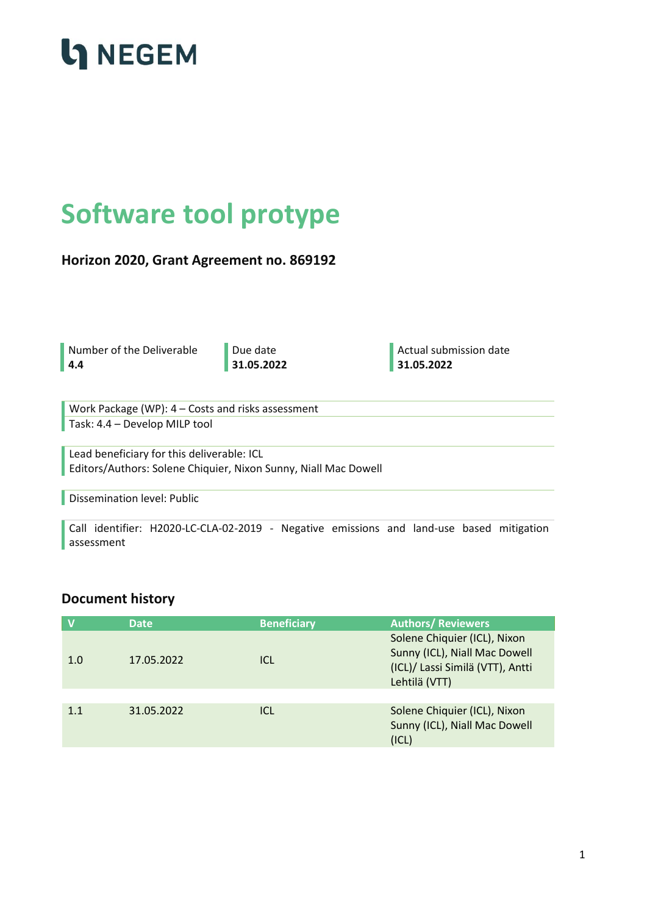

### **Software tool protype**

**Horizon 2020, Grant Agreement no. 869192**

Number of the Deliverable Due date **Actual submission date** Actual submission date

**4.4 31.05.2022 31.05.2022**

Work Package (WP): 4 – Costs and risks assessment Task: 4.4 – Develop MILP tool

Lead beneficiary for this deliverable: ICL Editors/Authors: Solene Chiquier, Nixon Sunny, Niall Mac Dowell

Dissemination level: Public

Call identifier: H2020-LC-CLA-02-2019 - Negative emissions and land-use based mitigation assessment

#### **Document history**

|     | <b>Date</b> | <b>Beneficiary</b> | <b>Authors/ Reviewers</b>                                                                                          |
|-----|-------------|--------------------|--------------------------------------------------------------------------------------------------------------------|
| 1.0 | 17.05.2022  | ICL                | Solene Chiquier (ICL), Nixon<br>Sunny (ICL), Niall Mac Dowell<br>(ICL)/ Lassi Similä (VTT), Antti<br>Lehtilä (VTT) |
|     |             |                    |                                                                                                                    |
| 1.1 | 31.05.2022  | ICL                | Solene Chiquier (ICL), Nixon<br>Sunny (ICL), Niall Mac Dowell<br>(ICL)                                             |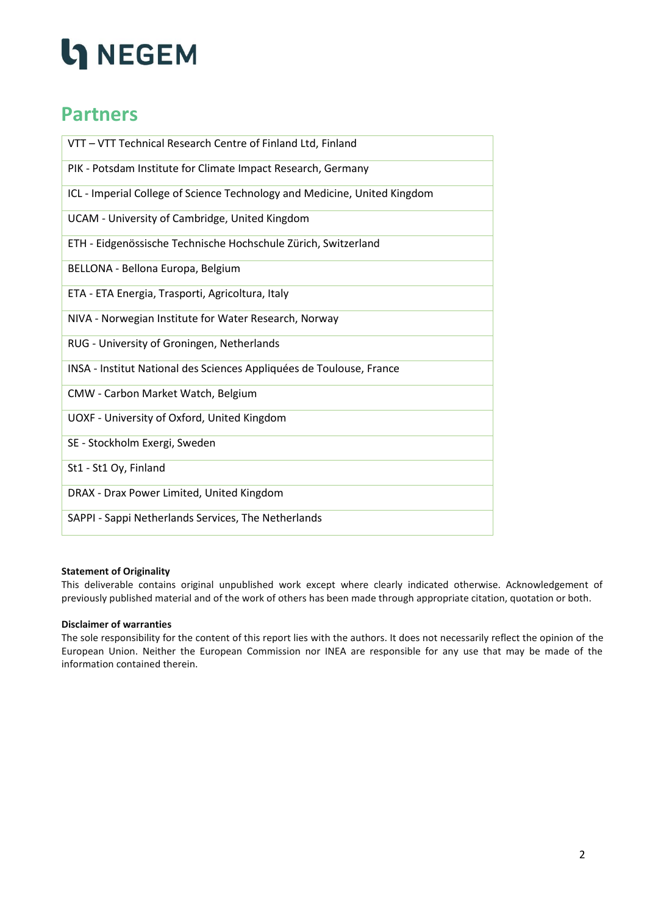### **Partners**

| VTT - VTT Technical Research Centre of Finland Ltd, Finland               |
|---------------------------------------------------------------------------|
| PIK - Potsdam Institute for Climate Impact Research, Germany              |
| ICL - Imperial College of Science Technology and Medicine, United Kingdom |
| UCAM - University of Cambridge, United Kingdom                            |
| ETH - Eidgenössische Technische Hochschule Zürich, Switzerland            |
| BELLONA - Bellona Europa, Belgium                                         |
| ETA - ETA Energia, Trasporti, Agricoltura, Italy                          |
| NIVA - Norwegian Institute for Water Research, Norway                     |
| RUG - University of Groningen, Netherlands                                |
| INSA - Institut National des Sciences Appliquées de Toulouse, France      |
| CMW - Carbon Market Watch, Belgium                                        |
| UOXF - University of Oxford, United Kingdom                               |
| SE - Stockholm Exergi, Sweden                                             |
| St1 - St1 Oy, Finland                                                     |
| DRAX - Drax Power Limited, United Kingdom                                 |
| SAPPI - Sappi Netherlands Services, The Netherlands                       |

#### **Statement of Originality**

This deliverable contains original unpublished work except where clearly indicated otherwise. Acknowledgement of previously published material and of the work of others has been made through appropriate citation, quotation or both.

#### **Disclaimer of warranties**

The sole responsibility for the content of this report lies with the authors. It does not necessarily reflect the opinion of the European Union. Neither the European Commission nor INEA are responsible for any use that may be made of the information contained therein.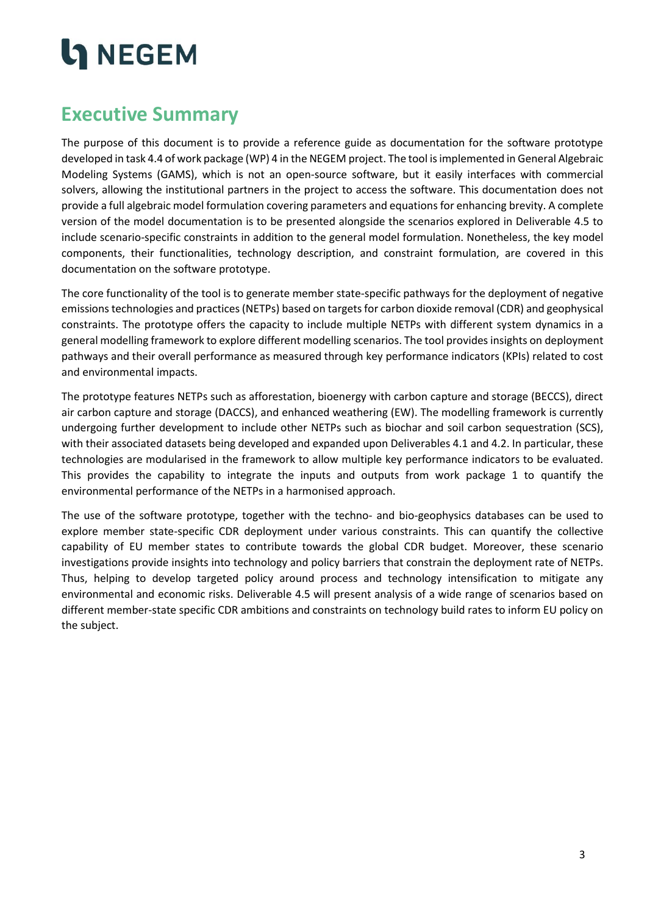### <span id="page-2-0"></span>**Executive Summary**

The purpose of this document is to provide a reference guide as documentation for the software prototype developed in task 4.4 of work package (WP) 4 in the NEGEM project. The tool is implemented in General Algebraic Modeling Systems (GAMS), which is not an open-source software, but it easily interfaces with commercial solvers, allowing the institutional partners in the project to access the software. This documentation does not provide a full algebraic model formulation covering parameters and equations for enhancing brevity. A complete version of the model documentation is to be presented alongside the scenarios explored in Deliverable 4.5 to include scenario-specific constraints in addition to the general model formulation. Nonetheless, the key model components, their functionalities, technology description, and constraint formulation, are covered in this documentation on the software prototype.

The core functionality of the tool is to generate member state-specific pathways for the deployment of negative emissions technologies and practices (NETPs) based on targets for carbon dioxide removal (CDR) and geophysical constraints. The prototype offers the capacity to include multiple NETPs with different system dynamics in a general modelling framework to explore different modelling scenarios. The tool provides insights on deployment pathways and their overall performance as measured through key performance indicators (KPIs) related to cost and environmental impacts.

The prototype features NETPs such as afforestation, bioenergy with carbon capture and storage (BECCS), direct air carbon capture and storage (DACCS), and enhanced weathering (EW). The modelling framework is currently undergoing further development to include other NETPs such as biochar and soil carbon sequestration (SCS), with their associated datasets being developed and expanded upon Deliverables 4.1 and 4.2. In particular, these technologies are modularised in the framework to allow multiple key performance indicators to be evaluated. This provides the capability to integrate the inputs and outputs from work package 1 to quantify the environmental performance of the NETPs in a harmonised approach.

The use of the software prototype, together with the techno- and bio-geophysics databases can be used to explore member state-specific CDR deployment under various constraints. This can quantify the collective capability of EU member states to contribute towards the global CDR budget. Moreover, these scenario investigations provide insights into technology and policy barriers that constrain the deployment rate of NETPs. Thus, helping to develop targeted policy around process and technology intensification to mitigate any environmental and economic risks. Deliverable 4.5 will present analysis of a wide range of scenarios based on different member-state specific CDR ambitions and constraints on technology build rates to inform EU policy on the subject.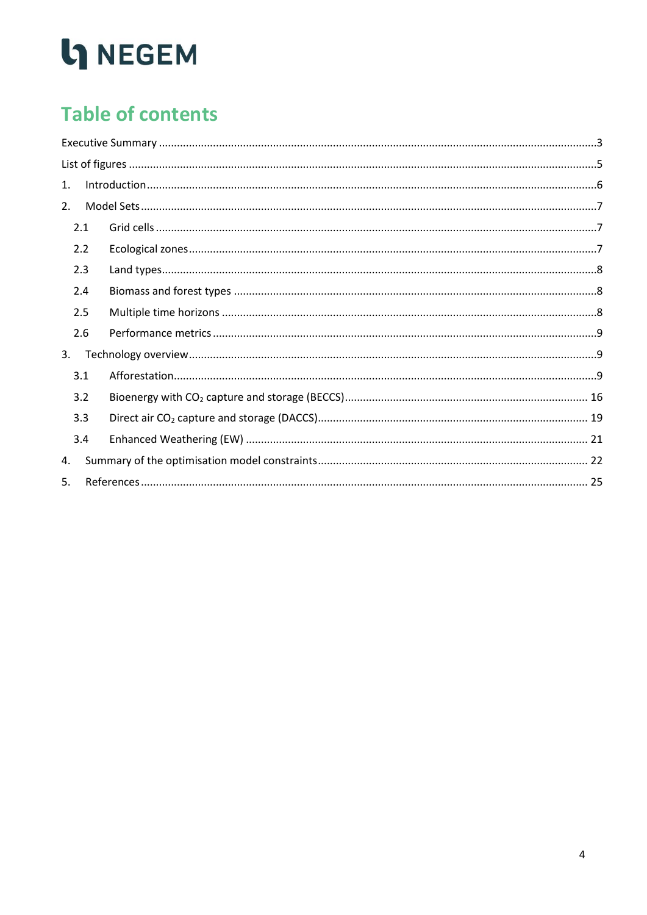### **Table of contents**

| 1. |     |  |
|----|-----|--|
| 2. |     |  |
|    | 2.1 |  |
|    | 2.2 |  |
|    | 2.3 |  |
|    | 2.4 |  |
|    | 2.5 |  |
|    | 2.6 |  |
| 3. |     |  |
|    | 3.1 |  |
|    | 3.2 |  |
|    | 3.3 |  |
|    | 3.4 |  |
| 4. |     |  |
| 5. |     |  |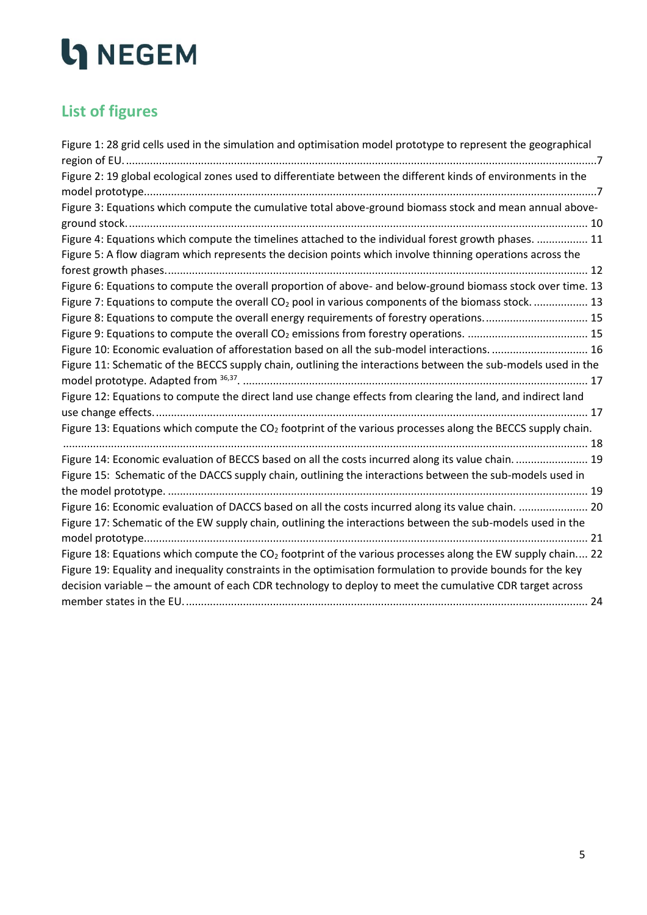# h NEGEM

### <span id="page-4-0"></span>**List of figures**

| Figure 1: 28 grid cells used in the simulation and optimisation model prototype to represent the geographical           |  |  |  |  |  |
|-------------------------------------------------------------------------------------------------------------------------|--|--|--|--|--|
|                                                                                                                         |  |  |  |  |  |
| Figure 2: 19 global ecological zones used to differentiate between the different kinds of environments in the           |  |  |  |  |  |
|                                                                                                                         |  |  |  |  |  |
| Figure 3: Equations which compute the cumulative total above-ground biomass stock and mean annual above-                |  |  |  |  |  |
|                                                                                                                         |  |  |  |  |  |
| Figure 4: Equations which compute the timelines attached to the individual forest growth phases.  11                    |  |  |  |  |  |
| Figure 5: A flow diagram which represents the decision points which involve thinning operations across the              |  |  |  |  |  |
|                                                                                                                         |  |  |  |  |  |
| Figure 6: Equations to compute the overall proportion of above- and below-ground biomass stock over time. 13            |  |  |  |  |  |
| Figure 7: Equations to compute the overall $CO2$ pool in various components of the biomass stock.  13                   |  |  |  |  |  |
| Figure 8: Equations to compute the overall energy requirements of forestry operations 15                                |  |  |  |  |  |
|                                                                                                                         |  |  |  |  |  |
| Figure 10: Economic evaluation of afforestation based on all the sub-model interactions.  16                            |  |  |  |  |  |
| Figure 11: Schematic of the BECCS supply chain, outlining the interactions between the sub-models used in the           |  |  |  |  |  |
|                                                                                                                         |  |  |  |  |  |
| Figure 12: Equations to compute the direct land use change effects from clearing the land, and indirect land            |  |  |  |  |  |
|                                                                                                                         |  |  |  |  |  |
| Figure 13: Equations which compute the CO <sub>2</sub> footprint of the various processes along the BECCS supply chain. |  |  |  |  |  |
|                                                                                                                         |  |  |  |  |  |
| Figure 14: Economic evaluation of BECCS based on all the costs incurred along its value chain 19                        |  |  |  |  |  |
| Figure 15: Schematic of the DACCS supply chain, outlining the interactions between the sub-models used in               |  |  |  |  |  |
|                                                                                                                         |  |  |  |  |  |
| Figure 16: Economic evaluation of DACCS based on all the costs incurred along its value chain.  20                      |  |  |  |  |  |
| Figure 17: Schematic of the EW supply chain, outlining the interactions between the sub-models used in the              |  |  |  |  |  |
|                                                                                                                         |  |  |  |  |  |
| Figure 18: Equations which compute the CO <sub>2</sub> footprint of the various processes along the EW supply chain 22  |  |  |  |  |  |
| Figure 19: Equality and inequality constraints in the optimisation formulation to provide bounds for the key            |  |  |  |  |  |
| decision variable - the amount of each CDR technology to deploy to meet the cumulative CDR target across                |  |  |  |  |  |
|                                                                                                                         |  |  |  |  |  |
|                                                                                                                         |  |  |  |  |  |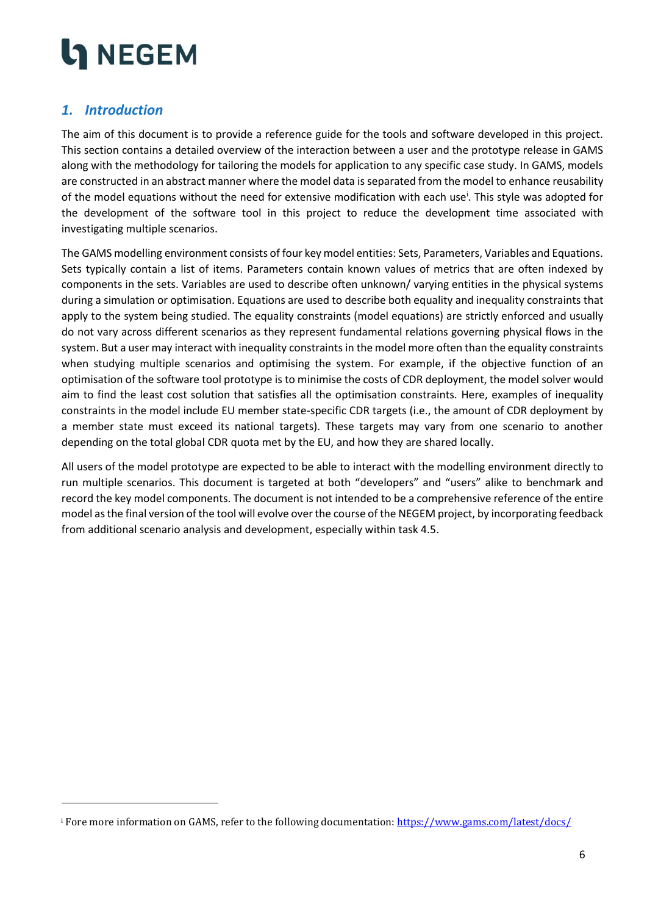#### <span id="page-5-0"></span>*1. Introduction*

The aim of this document is to provide a reference guide for the tools and software developed in this project. This section contains a detailed overview of the interaction between a user and the prototype release in GAMS along with the methodology for tailoring the models for application to any specific case study. In GAMS, models are constructed in an abstract manner where the model data is separated from the model to enhance reusability of the model equations without the need for extensive modification with each use<sup>i</sup>. This style was adopted for the development of the software tool in this project to reduce the development time associated with investigating multiple scenarios.

The GAMS modelling environment consists of four key model entities: Sets, Parameters, Variables and Equations. Sets typically contain a list of items. Parameters contain known values of metrics that are often indexed by components in the sets. Variables are used to describe often unknown/ varying entities in the physical systems during a simulation or optimisation. Equations are used to describe both equality and inequality constraints that apply to the system being studied. The equality constraints (model equations) are strictly enforced and usually do not vary across different scenarios as they represent fundamental relations governing physical flows in the system. But a user may interact with inequality constraints in the model more often than the equality constraints when studying multiple scenarios and optimising the system. For example, if the objective function of an optimisation of the software tool prototype is to minimise the costs of CDR deployment, the model solver would aim to find the least cost solution that satisfies all the optimisation constraints. Here, examples of inequality constraints in the model include EU member state-specific CDR targets (i.e., the amount of CDR deployment by a member state must exceed its national targets). These targets may vary from one scenario to another depending on the total global CDR quota met by the EU, and how they are shared locally.

All users of the model prototype are expected to be able to interact with the modelling environment directly to run multiple scenarios. This document is targeted at both "developers" and "users" alike to benchmark and record the key model components. The document is not intended to be a comprehensive reference of the entire model as the final version of the tool will evolve over the course of the NEGEM project, by incorporating feedback from additional scenario analysis and development, especially within task 4.5.

<sup>&</sup>lt;sup>i</sup> Fore more information on GAMS, refer to the following documentation[: https://www.gams.com/latest/docs/](https://www.gams.com/latest/docs/)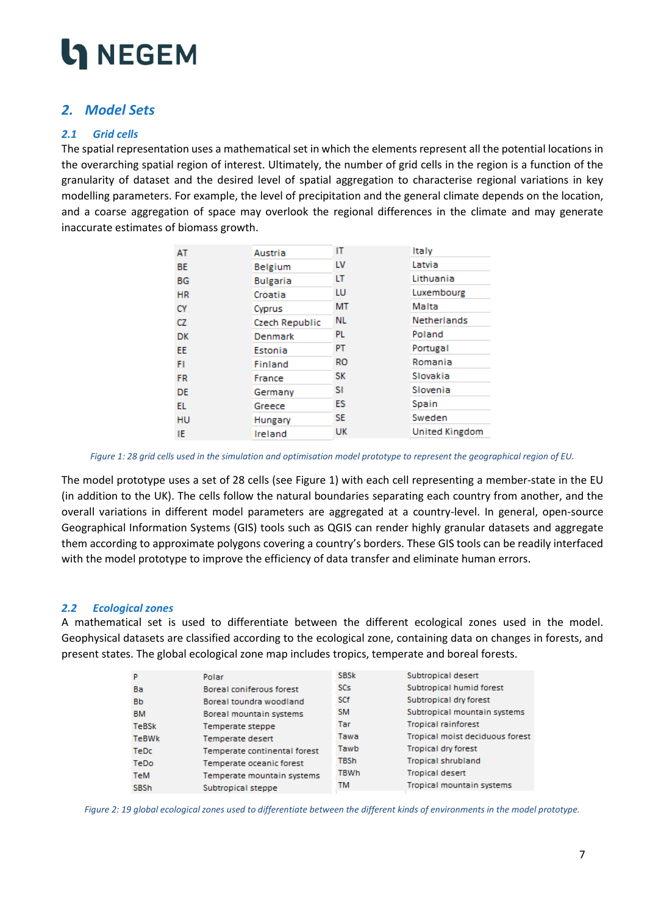#### <span id="page-6-0"></span>*2. Model Sets*

#### <span id="page-6-1"></span>*2.1 Grid cells*

The spatial representation uses a mathematical set in which the elements represent all the potential locations in the overarching spatial region of interest. Ultimately, the number of grid cells in the region is a function of the granularity of dataset and the desired level of spatial aggregation to characterise regional variations in key modelling parameters. For example, the level of precipitation and the general climate depends on the location, and a coarse aggregation of space may overlook the regional differences in the climate and may generate inaccurate estimates of biomass growth.

| AT        | Austria         | IΤ        | Italy                 |
|-----------|-----------------|-----------|-----------------------|
| <b>BE</b> | Belgium         | LV        | Latvia                |
| <b>BG</b> | <b>Bulgaria</b> | LT        | Lithuania             |
| <b>HR</b> | Croatia         | LU        | Luxembourg            |
| <b>CY</b> | Cyprus          | MT        | Malta                 |
| CZ        | Czech Republic  | NL.       | <b>Netherlands</b>    |
| DK        | Denmark         | PL        | Poland                |
| EE.       | Estonia         | PT        | Portugal              |
| FI        | Finland         | RO        | Romania               |
| <b>FR</b> | France          | <b>SK</b> | Slovakia              |
| <b>DE</b> | Germany         | SI        | Slovenia              |
| EL.       | Greece          | ES.       | Spain                 |
| HU        | Hungary         | SE.       | Sweden                |
| ΙE        | Ireland         | UK        | <b>United Kingdom</b> |

*Figure 1: 28 grid cells used in the simulation and optimisation model prototype to represent the geographical region of EU.*

<span id="page-6-3"></span>The model prototype uses a set of 28 cells (see Figure 1) with each cell representing a member-state in the EU (in addition to the UK). The cells follow the natural boundaries separating each country from another, and the overall variations in different model parameters are aggregated at a country-level. In general, open-source Geographical Information Systems (GIS) tools such as QGIS can render highly granular datasets and aggregate them according to approximate polygons covering a country's borders. These GIS tools can be readily interfaced with the model prototype to improve the efficiency of data transfer and eliminate human errors.

#### <span id="page-6-2"></span>*2.2 Ecological zones*

A mathematical set is used to differentiate between the different ecological zones used in the model. Geophysical datasets are classified according to the ecological zone, containing data on changes in forests, and present states. The global ecological zone map includes tropics, temperate and boreal forests.

| p            | Polar                           | <b>SBSk</b> | Subtropical desert              |
|--------------|---------------------------------|-------------|---------------------------------|
| Ba.          | <b>Boreal coniferous forest</b> | <b>SCs</b>  | Subtropical humid forest        |
| Bb.          | Boreal toundra woodland         | <b>SCf</b>  | Subtropical dry forest          |
| <b>BM</b>    | Boreal mountain systems         | SM          | Subtropical mountain systems    |
| <b>TeBSk</b> | Temperate steppe                | Tar         | <b>Tropical rainforest</b>      |
| TeBWk        | Temperate desert                | Tawa        | Tropical moist deciduous forest |
| <b>TeDc</b>  | Temperate continental forest    | Tawb        | <b>Tropical dry forest</b>      |
| TeDo         | Temperate oceanic forest        | <b>TBSh</b> | <b>Tropical shrubland</b>       |
| TeM          | Temperate mountain systems      | <b>TBWh</b> | <b>Tropical desert</b>          |
| <b>SBSh</b>  | Subtropical steppe              | ТM          | Tropical mountain systems       |
|              |                                 |             |                                 |

<span id="page-6-4"></span>*Figure 2: 19 global ecological zones used to differentiate between the different kinds of environments in the model prototype.*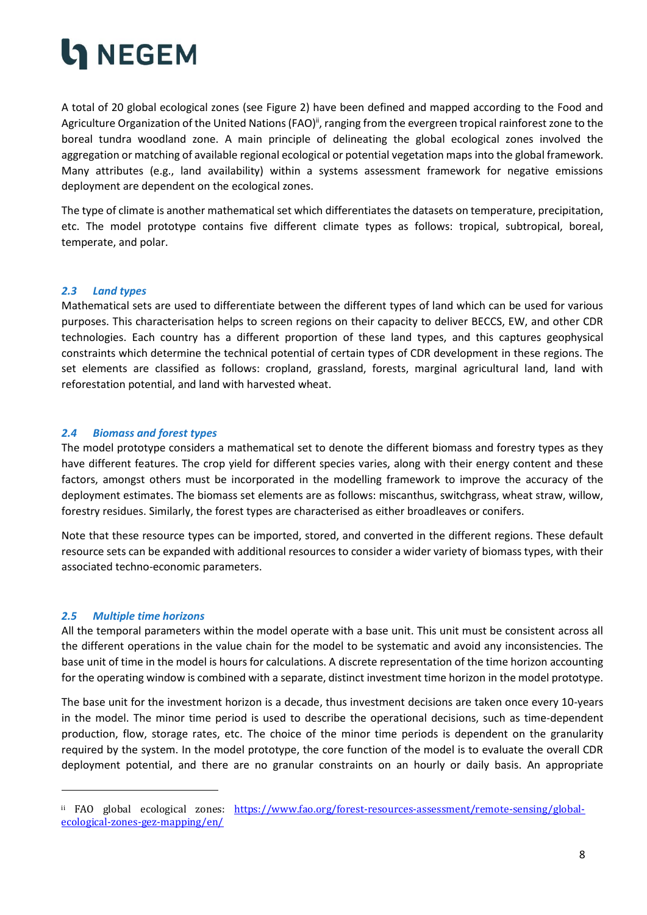A total of 20 global ecological zones (see Figure 2) have been defined and mapped according to the Food and Agriculture Organization of the United Nations (FAO)<sup>ii</sup>, ranging from the evergreen tropical rainforest zone to the boreal tundra woodland zone. A main principle of delineating the global ecological zones involved the aggregation or matching of available regional ecological or potential vegetation maps into the global framework. Many attributes (e.g., land availability) within a systems assessment framework for negative emissions deployment are dependent on the ecological zones.

The type of climate is another mathematical set which differentiates the datasets on temperature, precipitation, etc. The model prototype contains five different climate types as follows: tropical, subtropical, boreal, temperate, and polar.

#### <span id="page-7-0"></span>*2.3 Land types*

Mathematical sets are used to differentiate between the different types of land which can be used for various purposes. This characterisation helps to screen regions on their capacity to deliver BECCS, EW, and other CDR technologies. Each country has a different proportion of these land types, and this captures geophysical constraints which determine the technical potential of certain types of CDR development in these regions. The set elements are classified as follows: cropland, grassland, forests, marginal agricultural land, land with reforestation potential, and land with harvested wheat.

#### <span id="page-7-1"></span>*2.4 Biomass and forest types*

The model prototype considers a mathematical set to denote the different biomass and forestry types as they have different features. The crop yield for different species varies, along with their energy content and these factors, amongst others must be incorporated in the modelling framework to improve the accuracy of the deployment estimates. The biomass set elements are as follows: miscanthus, switchgrass, wheat straw, willow, forestry residues. Similarly, the forest types are characterised as either broadleaves or conifers.

Note that these resource types can be imported, stored, and converted in the different regions. These default resource sets can be expanded with additional resources to consider a wider variety of biomass types, with their associated techno-economic parameters.

#### <span id="page-7-2"></span>*2.5 Multiple time horizons*

All the temporal parameters within the model operate with a base unit. This unit must be consistent across all the different operations in the value chain for the model to be systematic and avoid any inconsistencies. The base unit of time in the model is hours for calculations. A discrete representation of the time horizon accounting for the operating window is combined with a separate, distinct investment time horizon in the model prototype.

The base unit for the investment horizon is a decade, thus investment decisions are taken once every 10-years in the model. The minor time period is used to describe the operational decisions, such as time-dependent production, flow, storage rates, etc. The choice of the minor time periods is dependent on the granularity required by the system. In the model prototype, the core function of the model is to evaluate the overall CDR deployment potential, and there are no granular constraints on an hourly or daily basis. An appropriate

ii FAO global ecological zones: [https://www.fao.org/forest-resources-assessment/remote-sensing/global](https://www.fao.org/forest-resources-assessment/remote-sensing/global-ecological-zones-gez-mapping/en/)[ecological-zones-gez-mapping/en/](https://www.fao.org/forest-resources-assessment/remote-sensing/global-ecological-zones-gez-mapping/en/)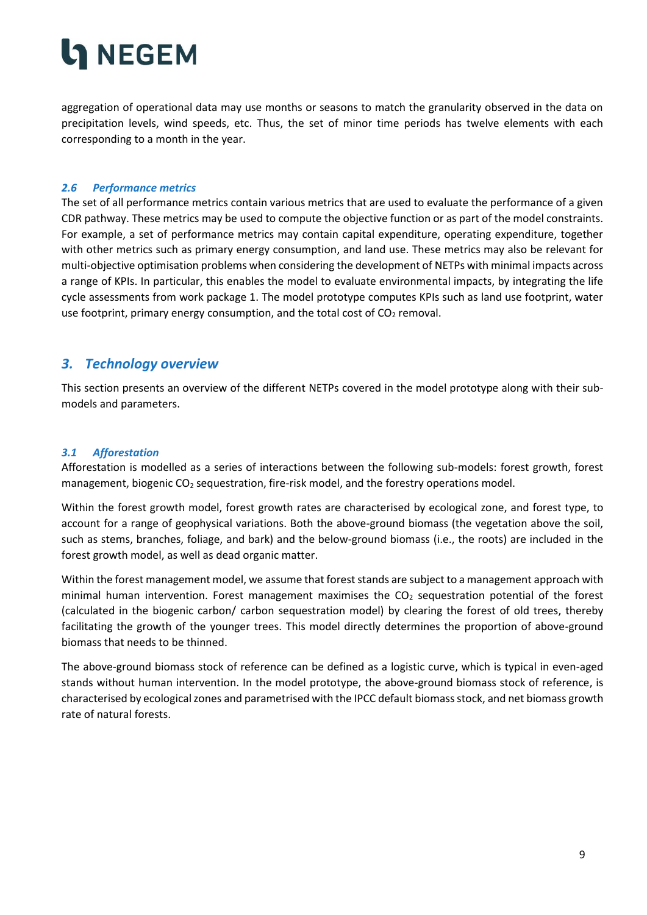aggregation of operational data may use months or seasons to match the granularity observed in the data on precipitation levels, wind speeds, etc. Thus, the set of minor time periods has twelve elements with each corresponding to a month in the year.

#### <span id="page-8-0"></span>*2.6 Performance metrics*

The set of all performance metrics contain various metrics that are used to evaluate the performance of a given CDR pathway. These metrics may be used to compute the objective function or as part of the model constraints. For example, a set of performance metrics may contain capital expenditure, operating expenditure, together with other metrics such as primary energy consumption, and land use. These metrics may also be relevant for multi-objective optimisation problems when considering the development of NETPs with minimal impacts across a range of KPIs. In particular, this enables the model to evaluate environmental impacts, by integrating the life cycle assessments from work package 1. The model prototype computes KPIs such as land use footprint, water use footprint, primary energy consumption, and the total cost of  $CO<sub>2</sub>$  removal.

#### <span id="page-8-1"></span>*3. Technology overview*

This section presents an overview of the different NETPs covered in the model prototype along with their submodels and parameters.

#### <span id="page-8-2"></span>*3.1 Afforestation*

Afforestation is modelled as a series of interactions between the following sub-models: forest growth, forest management, biogenic CO<sub>2</sub> sequestration, fire-risk model, and the forestry operations model.

Within the forest growth model, forest growth rates are characterised by ecological zone, and forest type, to account for a range of geophysical variations. Both the above-ground biomass (the vegetation above the soil, such as stems, branches, foliage, and bark) and the below-ground biomass (i.e., the roots) are included in the forest growth model, as well as dead organic matter.

Within the forest management model, we assume that forest stands are subject to a management approach with minimal human intervention. Forest management maximises the CO<sub>2</sub> sequestration potential of the forest (calculated in the biogenic carbon/ carbon sequestration model) by clearing the forest of old trees, thereby facilitating the growth of the younger trees. This model directly determines the proportion of above-ground biomass that needs to be thinned.

The above-ground biomass stock of reference can be defined as a logistic curve, which is typical in even-aged stands without human intervention. In the model prototype, the above-ground biomass stock of reference, is characterised by ecological zones and parametrised with the IPCC default biomass stock, and net biomass growth rate of natural forests.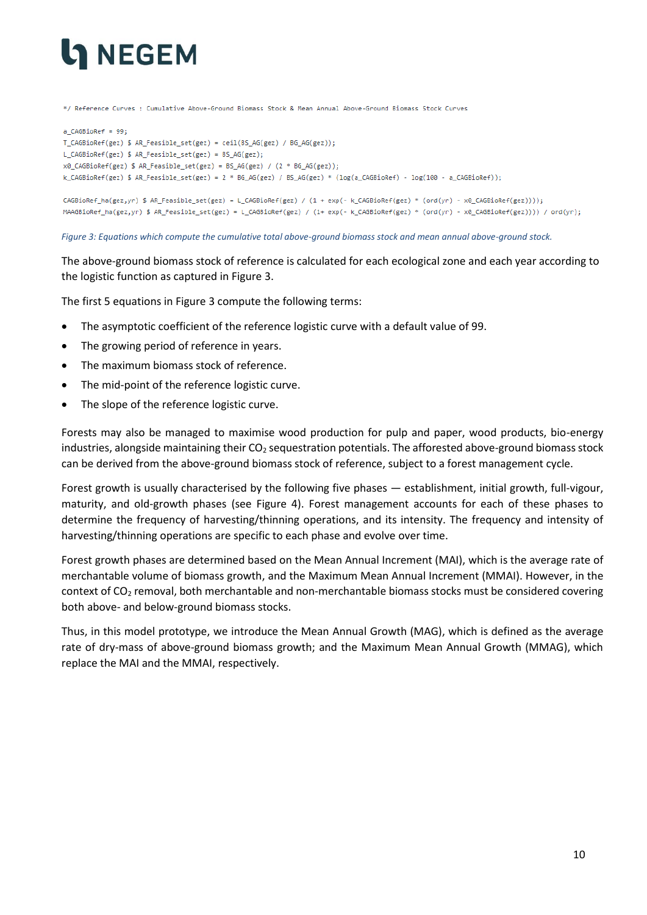\*/ Reference Curves : Cumulative Above-Ground Biomass Stock & Mean Annual Above-Ground Biomass Stock Curves

```
a_CAGBioRef = 99;T_CAGBioRef(gez) $ AR_Feasible_set(gez) = ceil(BS_AG(gez) / BG_AG(gez));
L_CAGBioRef(gez) $ AR_Feasible_set(gez) = BS_AG(gez);
x0 CAGBioRef(gez) $ AR Feasible set(gez) = BS AG(gez) / (2 * BG AG(gez));
k_CAGBioRef(gez) $ AR_Feasible_set(gez) = 2 * BG_AG(gez) / BS_AG(gez) * (log(a_CAGBioRef) - log(100 - a_CAGBioRef));
CAGBioRef_ha(gez,yr) $ AR_Feasible_set(gez) = L_CAGBioRef(gez) / (1 + exp(- k_CAGBioRef(gez) * (ord(yr) - x0_CAGBioRef(gez))));
```
MAAGBioRef\_ha(gez,yr) \$ AR\_Feasible\_set(gez) = L\_CAGBioRef(gez) / (1+ exp(- k\_CAGBioRef(gez) \* (ord(yr) - x0\_CAGBioRef(gez)))) / ord(yr);

<span id="page-9-0"></span>*Figure 3: Equations which compute the cumulative total above-ground biomass stock and mean annual above-ground stock.*

The above-ground biomass stock of reference is calculated for each ecological zone and each year according to the logistic function as captured in Figure 3.

The first 5 equations in Figure 3 compute the following terms:

- The asymptotic coefficient of the reference logistic curve with a default value of 99.
- The growing period of reference in years.
- The maximum biomass stock of reference.
- The mid-point of the reference logistic curve.
- The slope of the reference logistic curve.

Forests may also be managed to maximise wood production for pulp and paper, wood products, bio-energy industries, alongside maintaining their  $CO<sub>2</sub>$  sequestration potentials. The afforested above-ground biomass stock can be derived from the above-ground biomass stock of reference, subject to a forest management cycle.

Forest growth is usually characterised by the following five phases — establishment, initial growth, full-vigour, maturity, and old-growth phases (see Figure 4). Forest management accounts for each of these phases to determine the frequency of harvesting/thinning operations, and its intensity. The frequency and intensity of harvesting/thinning operations are specific to each phase and evolve over time.

Forest growth phases are determined based on the Mean Annual Increment (MAI), which is the average rate of merchantable volume of biomass growth, and the Maximum Mean Annual Increment (MMAI). However, in the context of CO<sup>2</sup> removal, both merchantable and non-merchantable biomass stocks must be considered covering both above- and below-ground biomass stocks.

Thus, in this model prototype, we introduce the Mean Annual Growth (MAG), which is defined as the average rate of dry-mass of above-ground biomass growth; and the Maximum Mean Annual Growth (MMAG), which replace the MAI and the MMAI, respectively.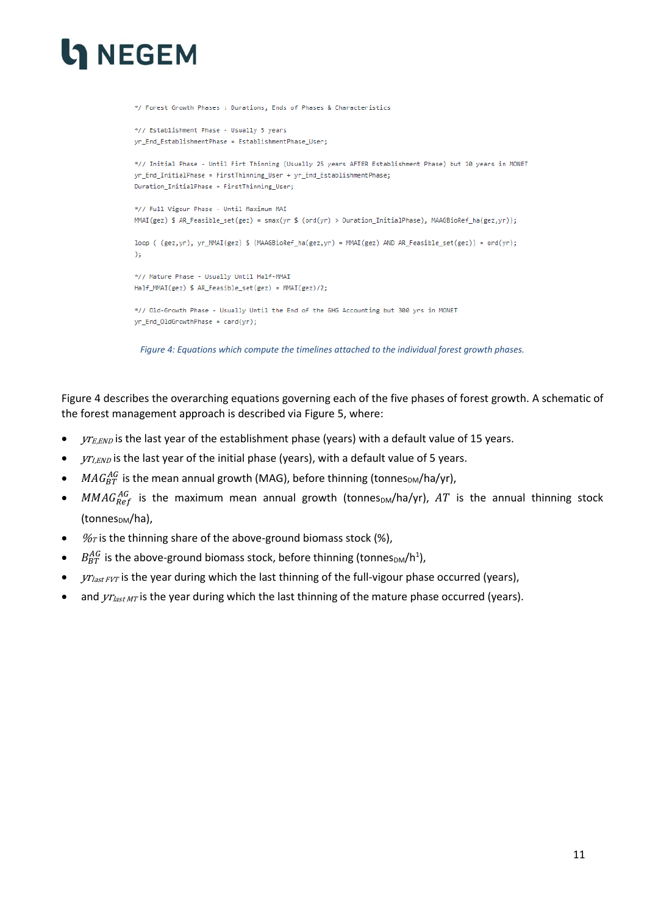```
*/ Forest Growth Phases : Durations, Ends of Phases & Characteristics
*// Establishment Phase - Hsually 5 years
yr_End_EstablishmentPhase = EstablishmentPhase_User;
*// Initial Phase - Until Firt Thinning (Usually 25 years AFTER Establishment Phase) but 10 years in MONET
yr_End_InitialPhase = FirstThinning_User + yr_End_EstablishmentPhase;
Duration InitialPhase = FirstThinning User;
*// Full Vigour Phase - Until Maximum MAI
MMAI(gez) $ AR_Feasible_set(gez) = smax(yr $ (ord(yr) > Duration_InitialPhase), MAAGBioRef_ha(gez,yr));
loop ( (gez,yr), yr_MMAI(gez) $ (MAAGBioRef_ha(gez,yr) = MMAI(gez) AND AR_Feasible_set(gez)) = ord(yr);
\lambda:
*// Mature Phase - Usually Until Half-MMAI
Half_MMAI(gez) $ AR_Feasible_set(gez) = MMAI(gez)/2;
*// Old-Growth Phase - Usually Until the End of the GHG Accounting but 300 yrs in MONET
yr\_End\_OldGrowthPhase = card(yr);
```
*Figure 4: Equations which compute the timelines attached to the individual forest growth phases.*

<span id="page-10-0"></span>Figure 4 describes the overarching equations governing each of the five phases of forest growth. A schematic of the forest management approach is described via Figure 5, where:

- $\bullet$   $yr_{\text{EEND}}$  is the last year of the establishment phase (years) with a default value of 15 years.
- $vr_{LEND}$  is the last year of the initial phase (years), with a default value of 5 years.
- $MAG_{BT}^{AG}$  is the mean annual growth (MAG), before thinning (tonnes<sub>DM</sub>/ha/yr),
- $M M A G_{Ref}^{AG}$  is the maximum mean annual growth (tonnes<sub>DM</sub>/ha/yr),  $AT$  is the annual thinning stock  $(tonnes<sub>DM</sub>/ha)$ ,
- $\mathcal{Y}_{T}$  is the thinning share of the above-ground biomass stock (%),
- $B_{BT}^{AG}$  is the above-ground biomass stock, before thinning (tonnes<sub>DM</sub>/h<sup>1</sup>),
- $V_{\text{lastFVT}}$  is the year during which the last thinning of the full-vigour phase occurred (years),
- and  $y_{T,ast MT}$  is the year during which the last thinning of the mature phase occurred (years).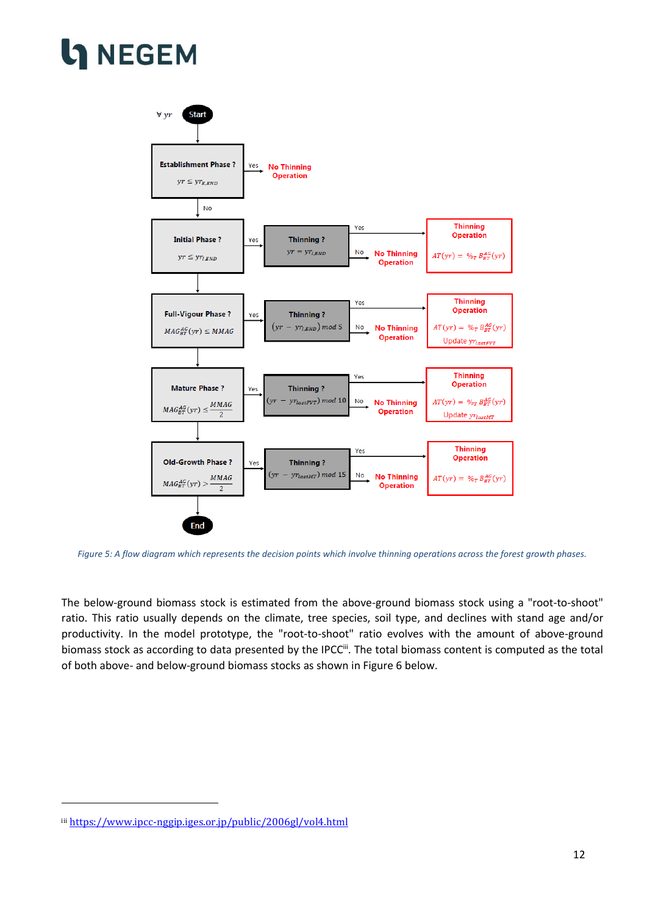# NEGEM



<span id="page-11-0"></span>*Figure 5: A flow diagram which represents the decision points which involve thinning operations across the forest growth phases.*

The below-ground biomass stock is estimated from the above-ground biomass stock using a "root-to-shoot" ratio. This ratio usually depends on the climate, tree species, soil type, and declines with stand age and/or productivity. In the model prototype, the "root-to-shoot" ratio evolves with the amount of above-ground biomass stock as according to data presented by the IPCC<sup>ii</sup>. The total biomass content is computed as the total of both above- and below-ground biomass stocks as shown in Figure 6 below.

iii <https://www.ipcc-nggip.iges.or.jp/public/2006gl/vol4.html>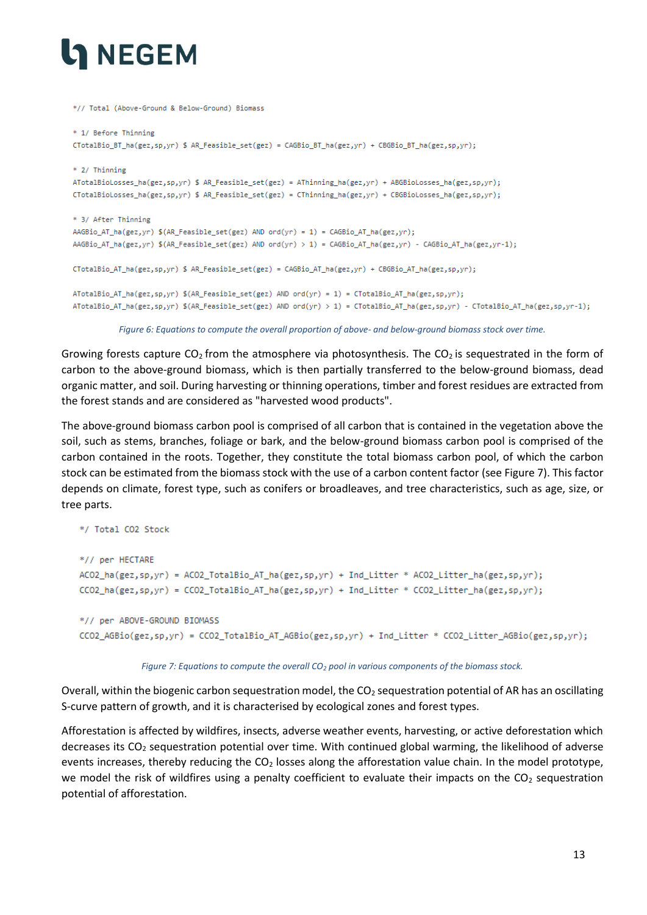\*// Total (Above-Ground & Below-Ground) Biomass

```
* 1/ Refore Thinning
CTotalBio_BT_ha(gez,sp,yr) $ AR_Feasible_set(gez) = CAGBio_BT_ha(gez,yr) + CBGBio_BT_ha(gez,sp,yr);
* 2/ Thinning
ATotalBioLosses_ha(gez,sp,yr) $ AR_Feasible_set(gez) = AThinning_ha(gez,yr) + ABGBioLosses_ha(gez,sp,yr);
CTotalBioLosses_ha(gez,sp,yr) $ AR_Feasible_set(gez) = CThinning_ha(gez,yr) + CBGBioLosses_ha(gez,sp,yr);
* 3/ After Thinning
AAGBio_AT_ha(gez,yr) $(AR_Feasible_set(gez) AND ord(yr) = 1) = CAGBio_AT_ha(gez,yr);
AAGBio_AT_ha(gez,yr) $(AR_Feasible_set(gez) AND ord(yr) > 1) = CAGBio_AT_ha(gez,yr) - CAGBio_AT_ha(gez,yr-1);
CTotalBio_AT_ha(gez,sp,yr) $ AR_Feasible_set(gez) = CAGBio_AT_ha(gez,yr) + CBGBio_AT_ha(gez,sp,yr);
ATotalBio_AT_ha(gez,sp,yr) $(AR_Feasible_set(gez) AND ord(yr) = 1) = CTotalBio_AT_ha(gez,sp,yr);
ATotalBio_AT_ha(gez,sp,yr) $(AR_Feasible_set(gez) AND ord(yr) > 1) = CTotalBio_AT_ha(gez,sp,yr) - CTotalBio_AT_ha(gez,sp,yr-1);
```
*Figure 6: Equations to compute the overall proportion of above- and below-ground biomass stock over time.*

<span id="page-12-0"></span>Growing forests capture  $CO_2$  from the atmosphere via photosynthesis. The  $CO_2$  is sequestrated in the form of carbon to the above-ground biomass, which is then partially transferred to the below-ground biomass, dead organic matter, and soil. During harvesting or thinning operations, timber and forest residues are extracted from the forest stands and are considered as "harvested wood products".

The above-ground biomass carbon pool is comprised of all carbon that is contained in the vegetation above the soil, such as stems, branches, foliage or bark, and the below-ground biomass carbon pool is comprised of the carbon contained in the roots. Together, they constitute the total biomass carbon pool, of which the carbon stock can be estimated from the biomass stock with the use of a carbon content factor (see Figure 7). This factor depends on climate, forest type, such as conifers or broadleaves, and tree characteristics, such as age, size, or tree parts.

```
*/ Total CO2 Stock
*// per HECTARE
ACO2_ha(gez,sp,yr) = ACO2_TotalBio_AT_ha(gez,sp,yr) + Ind_Litter * ACO2_Litter_ha(gez,sp,yr);
CCO2_ha(gez,sp,yr) = CCO2_TotalBio_AT_ha(gez,sp,yr) + Ind_Litter * CCO2_Litter_ha(gez,sp,yr);
*// per ABOVE-GROUND BIOMASS
CCO2_AGBio(gez,sp,yr) = CCO2_TotalBio_AT_AGBio(gez,sp,yr) + Ind_Litter * CCO2_Litter_AGBio(gez,sp,yr);
```
#### *Figure 7: Equations to compute the overall CO<sup>2</sup> pool in various components of the biomass stock.*

<span id="page-12-1"></span>Overall, within the biogenic carbon sequestration model, the  $CO<sub>2</sub>$  sequestration potential of AR has an oscillating S-curve pattern of growth, and it is characterised by ecological zones and forest types.

Afforestation is affected by wildfires, insects, adverse weather events, harvesting, or active deforestation which decreases its  $CO<sub>2</sub>$  sequestration potential over time. With continued global warming, the likelihood of adverse events increases, thereby reducing the  $CO<sub>2</sub>$  losses along the afforestation value chain. In the model prototype, we model the risk of wildfires using a penalty coefficient to evaluate their impacts on the  $CO<sub>2</sub>$  sequestration potential of afforestation.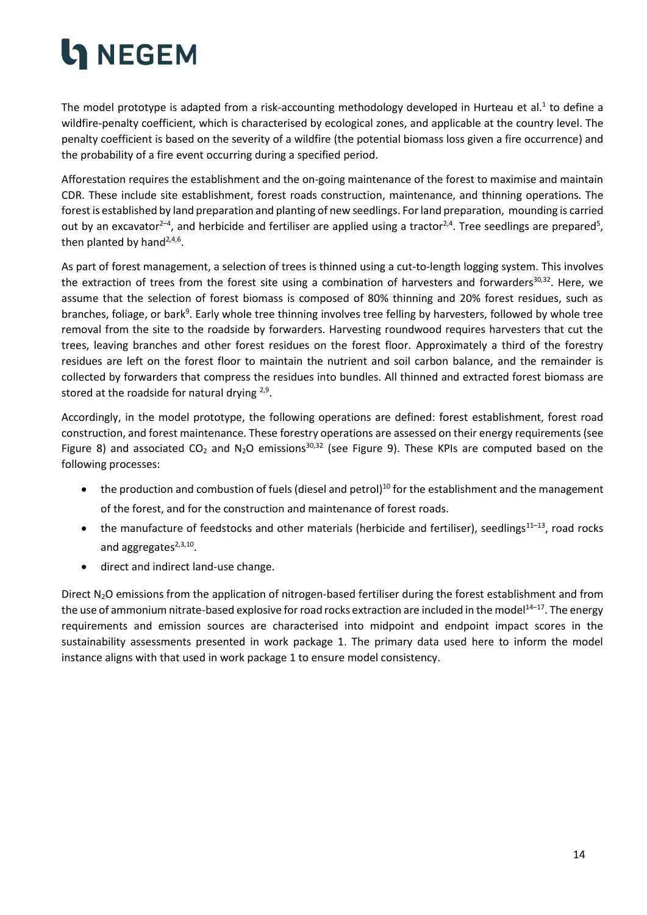The model prototype is adapted from a risk-accounting methodology developed in Hurteau et al.<sup>1</sup> to define a wildfire-penalty coefficient, which is characterised by ecological zones, and applicable at the country level. The penalty coefficient is based on the severity of a wildfire (the potential biomass loss given a fire occurrence) and the probability of a fire event occurring during a specified period.

Afforestation requires the establishment and the on-going maintenance of the forest to maximise and maintain CDR. These include site establishment, forest roads construction, maintenance, and thinning operations. The forest is established by land preparation and planting of new seedlings. For land preparation, mounding is carried out by an excavator<sup>2-4</sup>, and herbicide and fertiliser are applied using a tractor<sup>2,4</sup>. Tree seedlings are prepared<sup>5</sup>, then planted by hand<sup>2,4,6</sup>.

As part of forest management, a selection of trees is thinned using a cut-to-length logging system. This involves the extraction of trees from the forest site using a combination of harvesters and forwarders $30,32$ . Here, we assume that the selection of forest biomass is composed of 80% thinning and 20% forest residues, such as branches, foliage, or bark<sup>9</sup>. Early whole tree thinning involves tree felling by harvesters, followed by whole tree removal from the site to the roadside by forwarders. Harvesting roundwood requires harvesters that cut the trees, leaving branches and other forest residues on the forest floor. Approximately a third of the forestry residues are left on the forest floor to maintain the nutrient and soil carbon balance, and the remainder is collected by forwarders that compress the residues into bundles. All thinned and extracted forest biomass are stored at the roadside for natural drying  $2.9$ .

Accordingly, in the model prototype, the following operations are defined: forest establishment, forest road construction, and forest maintenance. These forestry operations are assessed on their energy requirements (see Figure 8) and associated  $CO_2$  and  $N_2O$  emissions<sup>30,32</sup> (see Figure 9). These KPIs are computed based on the following processes:

- $\bullet$  the production and combustion of fuels (diesel and petrol)<sup>10</sup> for the establishment and the management of the forest, and for the construction and maintenance of forest roads.
- the manufacture of feedstocks and other materials (herbicide and fertiliser), seedlings<sup>11-13</sup>, road rocks and aggregates<sup>2,3,10</sup>.
- direct and indirect land-use change.

Direct  $N_2O$  emissions from the application of nitrogen-based fertiliser during the forest establishment and from the use of ammonium nitrate-based explosive for road rocks extraction are included in the model<sup>14-17</sup>. The energy requirements and emission sources are characterised into midpoint and endpoint impact scores in the sustainability assessments presented in work package 1. The primary data used here to inform the model instance aligns with that used in work package 1 to ensure model consistency.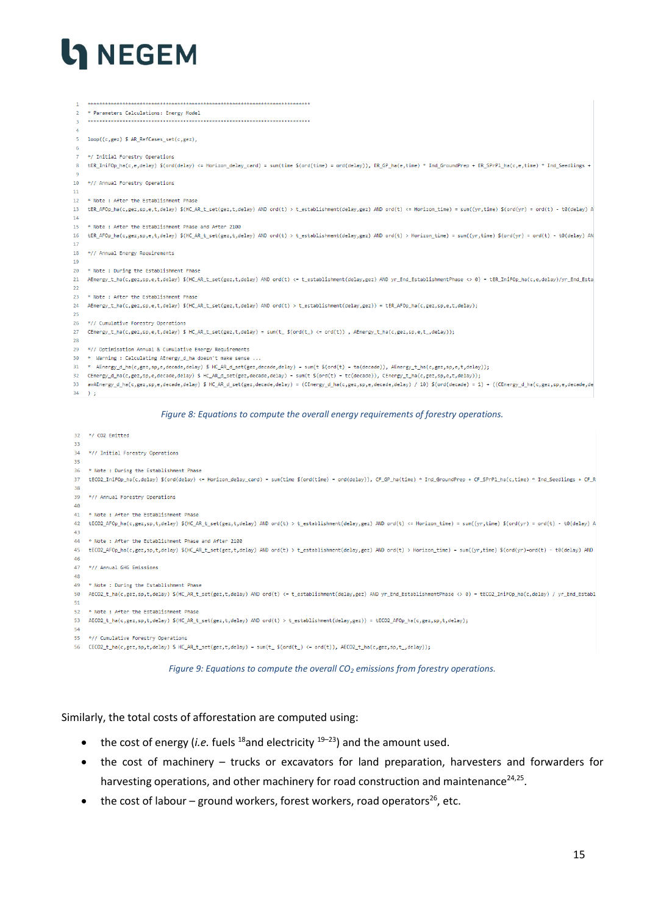

| 1              |                                                                                                                                                                                                    |  |
|----------------|----------------------------------------------------------------------------------------------------------------------------------------------------------------------------------------------------|--|
|                | * Parameters Calculations: Energy Model                                                                                                                                                            |  |
|                |                                                                                                                                                                                                    |  |
|                |                                                                                                                                                                                                    |  |
| 5              | loop((c,gez) \$ AR_RefCases_set(c,gez),                                                                                                                                                            |  |
|                |                                                                                                                                                                                                    |  |
| $\overline{7}$ | */ Initial Forestry Operations                                                                                                                                                                     |  |
| 8              | tER_IniFOp_ha(c,e,delay) \$(ord(delay) <= Horizon_delay_card) = sum(time \$(ord(time) = ord(delay)), ER_GP_ha(e,time) * Ind_GroundPrep + ER_SPrP1_ha(c,e,time) * Ind_Seedlings +                   |  |
| <b>Q</b>       |                                                                                                                                                                                                    |  |
| 10             | *// Annual Forestry Operations                                                                                                                                                                     |  |
| 11             |                                                                                                                                                                                                    |  |
| 12             | * Note : After the Establishment Phase                                                                                                                                                             |  |
| 13             | tER_AFOp_ha(c,gez,sp,e,t,delay) \$(HC_AR_t_set(gez,t,delay) AND ord(t) > t_establishment(delay,gez) AND ord(t) <= Horizon_time) = sum((yr,time) \$(ord(yr) = ord(t) - t0(delay) A                  |  |
| 14             |                                                                                                                                                                                                    |  |
| 15             | * Note : After the Establishment Phase and After 2100                                                                                                                                              |  |
| 16             | tER_AFOp_ha(c,gez,sp,e,t,delay) \$(HC_AR_t_set(gez,t,delay) AND ord(t) > t_establishment(delay,gez) AND ord(t) > Horizon_time) = sum((yr,time) \$(ord(yr) = ord(t) - t0(delay) AN                  |  |
| 17             |                                                                                                                                                                                                    |  |
| 18             | *// Annual Energy Requirements                                                                                                                                                                     |  |
| 19             |                                                                                                                                                                                                    |  |
| 20             | * Note : During the Establishment Phase                                                                                                                                                            |  |
| 21             | AEnergy_t_ha(c,gez,sp,e,t,delay) \$(HC_AR_t_set(gez,t,delay) AND ord(t) <= t_establishment(delay,gez) AND yr_End_EstablishmentPhase <> 0) = tER_IniFOp_ha(c,e,delay)/yr_End_Esta                   |  |
| 22             |                                                                                                                                                                                                    |  |
| 23             | * Note : After the Establishment Phase                                                                                                                                                             |  |
| 24             | AEnergy_t_ha(c,gez,sp,e,t,delay) \$(HC_AR_t_set(gez,t,delay) AND ord(t) > t_establishment(delay,gez)) = tER_AFOp_ha(c,gez,sp,e,t,delay);                                                           |  |
| 25<br>26       |                                                                                                                                                                                                    |  |
| 27             | *// Cumulative Forestry Operations                                                                                                                                                                 |  |
| 28             | CEnergy_t_ha(c,gez,sp,e,t,delay) \$ HC_AR_t_set(gez,t,delay) = sum(t_ \$(ord(t_) <= ord(t)) , AEnergy_t_ha(c,gez,sp,e,t_,delay));                                                                  |  |
| 29             | *// Optimisation Annual & Cumulative Energy Requirements                                                                                                                                           |  |
| 30             | * Warning : Calculating AEnergy_d_ha doesn't make sense                                                                                                                                            |  |
|                |                                                                                                                                                                                                    |  |
|                |                                                                                                                                                                                                    |  |
| 31             | * AEnergy_d_ha(c,gez,sp,e,decade,delay) \$ HC_AR_d_set(gez,decade,delay) = sum(t \$(ord(t) = ta(decade)), AEnergy_t_ha(c,gez,sp,e,t,delay));                                                       |  |
| 33             | 32 CEnergy_d_ha(c,gez,sp,e,decade,delay) \$ HC_AR_d_set(gez,decade,delay) = sum(t \$(ord(t) = tc(decade)), CEnergy_t_ha(c,gez,sp,e,t,delay));                                                      |  |
| 34             | avAEnergy_d_ha(c,gez,sp,e,decade,delay) \$ HC_AR_d_set(gez,decade,delay) = (CEnergy_d_ha(c,gez,sp,e,decade,delay) / 10) \$(ord(decade) = 1) + ((CEnergy_d_ha(c,gez,sp,e,decade,de<br>$\rightarrow$ |  |
|                |                                                                                                                                                                                                    |  |
|                |                                                                                                                                                                                                    |  |
|                | Figure 8: Equations to compute the overall energy requirements of forestry operations.                                                                                                             |  |
|                |                                                                                                                                                                                                    |  |
| 32             | */ CO2 Emitted                                                                                                                                                                                     |  |
| 33<br>34       |                                                                                                                                                                                                    |  |
| 35             | *// Initial Forestry Operations                                                                                                                                                                    |  |
| 36             | * Note : During the Establishment Phase                                                                                                                                                            |  |
| 37             | tECO2_IniFOp_ha(c,delay) \$(ord(delay) <= Horizon_delay_card) = sum(time \$(ord(time) = ord(delay)), CF_GP_ha(time) * Ind_GroundPrep + CF_SPrPl_ha(c,time) * Ind_Seedlings + CF_R                  |  |
| 38             |                                                                                                                                                                                                    |  |
| 39             | *// Annual Forestry Operations                                                                                                                                                                     |  |
| 40             |                                                                                                                                                                                                    |  |
| 41             | * Note : After the Establishment Phase                                                                                                                                                             |  |
| 42             | tECO2_AFOp_ha(c,gez,sp,t,delay) \$(HC_AR_t_set(gez,t,delay) AND ord(t) > t_establishment(delay,gez) AND ord(t) <= Horizon_time) = sum((yr,time) \$(ord(yr) = ord(t) - t0(delay) A                  |  |
| 43             |                                                                                                                                                                                                    |  |
| 44             | * Note : After the Establishment Phase and After 2100                                                                                                                                              |  |
| 45             | tECO2_AFOp_ha(c,gez,sp,t,delay) \$(HC_AR_t_set(gez,t,delay) AND ord(t) > t_establishment(delay,gez) AND ord(t) > Horizon_time) = sum((yr,time) \$(ord(yr)=ord(t) - t0(delay) AND                   |  |
| 46             |                                                                                                                                                                                                    |  |
| 47             | *// Annual GHG Emissions                                                                                                                                                                           |  |
| 48             |                                                                                                                                                                                                    |  |
| 49             | * Note : During the Establishment Phase                                                                                                                                                            |  |
| 50             | AECO2_t_ha(c,gez,sp,t,delay) \$(HC_AR_t_set(gez,t,delay) AND ord(t) <= t_establishment(delay,gez) AND yr_End_EstablishmentPhase <> 0) = tECO2_IniFOp_ha(c,delay) / yr_End_Establ                   |  |
| 51             |                                                                                                                                                                                                    |  |
| 52<br>53       | * Note : After the Establishment Phase<br>AECO2_t_ha(c,gez,sp,t,delay) \$(HC_AR_t_set(gez,t,delay) AND ord(t) > t_establishment(delay,gez)) = tECO2_AFOp_ha(c,gez,sp,t,delay);                     |  |

55 \*// Cumulative Forestry Operations

<span id="page-14-1"></span>56 CECO2\_t\_ha(c,gez,sp,t,delay) \$ HC\_AR\_t\_set(gez,t,delay) = sum(t\_ \$(ord(t\_) <= ord(t)), AECO2\_t\_ha(c,gez,sp,t\_,delay));

*Figure 9: Equations to compute the overall CO<sup>2</sup> emissions from forestry operations.*

Similarly, the total costs of afforestation are computed using:

<span id="page-14-0"></span>54

- the cost of energy (*i.e.* fuels  $^{18}$  and electricity  $^{19-23}$ ) and the amount used.
- the cost of machinery trucks or excavators for land preparation, harvesters and forwarders for harvesting operations, and other machinery for road construction and maintenance<sup>24,25</sup>.
- the cost of labour ground workers, forest workers, road operators<sup>26</sup>, etc.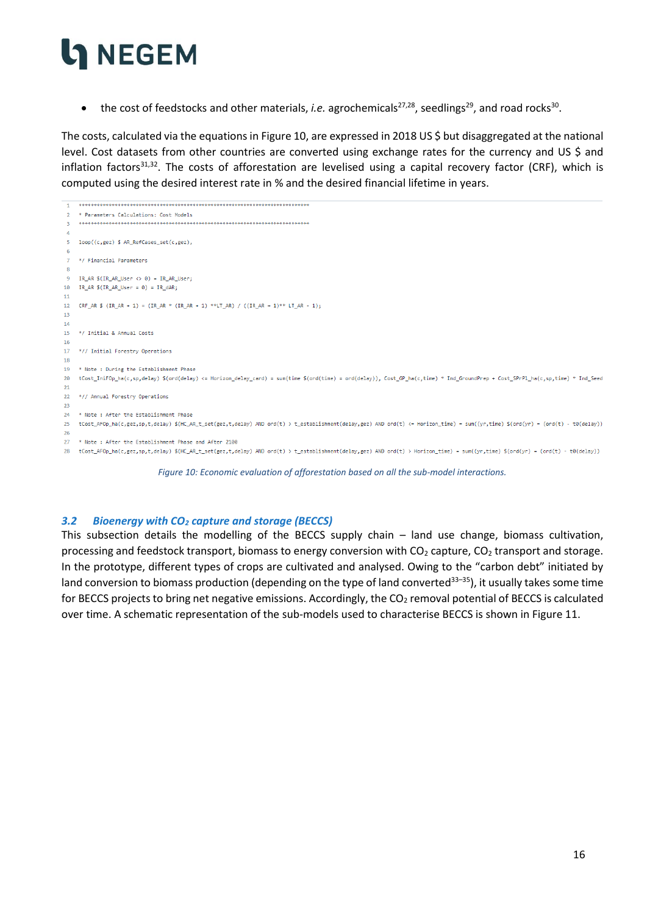• the cost of feedstocks and other materials, *i.e.* agrochemicals<sup>27,28</sup>, seedlings<sup>29</sup>, and road rocks<sup>30</sup>.

The costs, calculated via the equations in Figure 10, are expressed in 2018 US \$ but disaggregated at the national level. Cost datasets from other countries are converted using exchange rates for the currency and US \$ and inflation factors<sup>31,32</sup>. The costs of afforestation are levelised using a capital recovery factor (CRF), which is computed using the desired interest rate in % and the desired financial lifetime in years.

```
* Parameters Calculations: Cost Models
    5 \quad \text{loop}((c, \text{gez}) \text{ $$AR$ RefCases set}(c, \text{gez})*/ Financial Parameters
   IR_AR $(IR_AR_User \leftrightarrow 0) = IR_AR_User;
10IR_AR $(IR_AR_User = 0) = IR_dAR;\overline{11}12 CRF AR $ (IR AR + 1) = (IR AR * (IR AR + 1) ** LT AR) / ((IR AR + 1)** LT AR - 1);
\overline{13}1415 */ Initial & Annual Costs
16
17 *// Initial Forestry Operations
18
19 * Note : During the Establishment Phase
20<sub>0</sub>tCost IniFOp ha(c.sp.delay) $(ord(delay) <= Horizon delay card) = sum(time $(ord(time) = ord(delay)), Cost GP ha(c.time) * Ind GroundPrep + Cost SPrPl ha(c.sp.time) * Ind Seed
\overline{21}22 *// Annual Forestry Operations
2<sup>3</sup>24 * Note : After the Establishment Phase
25 tCost_AFOp_ha(c,gez,sp,t,delay) $(HC_AR_t_set(gez,t,delay) AND ord(t) > t_establishment(delay,gez) AND ord(t) <= Horizon_time) = sum((yr,time) $(ord(yr) = (ord(t) - t0(delay))
2627 * Note : After the Establishment Phase and After 2100
28 tCost_AFOp_ha(c,gez,sp,t,delay) $(HC_AR_t_set(gez,t,delay) AND ord(t) > t_establishment(delay,gez) AND ord(t) > Horizon_time) = sum((yr,time) $(ord(yr) = (ord(t) - t0(delay))
```
#### *Figure 10: Economic evaluation of afforestation based on all the sub-model interactions.*

#### <span id="page-15-1"></span><span id="page-15-0"></span>*3.2 Bioenergy with CO<sup>2</sup> capture and storage (BECCS)*

This subsection details the modelling of the BECCS supply chain – land use change, biomass cultivation, processing and feedstock transport, biomass to energy conversion with  $CO<sub>2</sub>$  capture,  $CO<sub>2</sub>$  transport and storage. In the prototype, different types of crops are cultivated and analysed. Owing to the "carbon debt" initiated by land conversion to biomass production (depending on the type of land converted<sup>33-35</sup>), it usually takes some time for BECCS projects to bring net negative emissions. Accordingly, the  $CO<sub>2</sub>$  removal potential of BECCS is calculated over time. A schematic representation of the sub-models used to characterise BECCS is shown in Figure 11.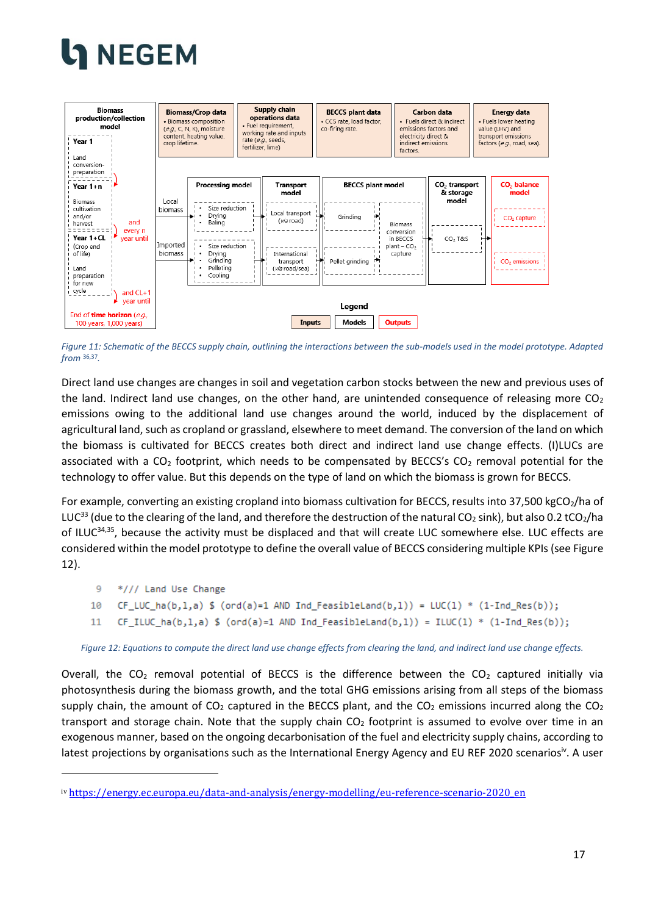



<span id="page-16-0"></span>*Figure 11: Schematic of the BECCS supply chain, outlining the interactions between the sub-models used in the model prototype. Adapted from* 36,37 *.*

Direct land use changes are changes in soil and vegetation carbon stocks between the new and previous uses of the land. Indirect land use changes, on the other hand, are unintended consequence of releasing more  $CO<sub>2</sub>$ emissions owing to the additional land use changes around the world, induced by the displacement of agricultural land, such as cropland or grassland, elsewhere to meet demand. The conversion of the land on which the biomass is cultivated for BECCS creates both direct and indirect land use change effects. (I)LUCs are associated with a  $CO<sub>2</sub>$  footprint, which needs to be compensated by BECCS's  $CO<sub>2</sub>$  removal potential for the technology to offer value. But this depends on the type of land on which the biomass is grown for BECCS.

For example, converting an existing cropland into biomass cultivation for BECCS, results into 37,500 kgCO<sub>2</sub>/ha of LUC<sup>33</sup> (due to the clearing of the land, and therefore the destruction of the natural CO<sub>2</sub> sink), but also 0.2 tCO<sub>2</sub>/ha of ILUC<sup>34,35</sup>, because the activity must be displaced and that will create LUC somewhere else. LUC effects are considered within the model prototype to define the overall value of BECCS considering multiple KPIs (see Figure 12).

```
9
    */// Land Use Change
```

```
10
     CF_LUC_ha(b,1,a) $ (ord(a)=1 AND Ind_FeasibleLand(b,1)) = LUC(1) * (1-Ind_Res(b));
```
 $11$  $CF_ILUC_ha(b,l,a)$  \$ (ord(a)=1 AND Ind\_FeasibleLand(b,1)) = ILUC(1) \* (1-Ind\_Res(b));

<span id="page-16-1"></span>*Figure 12: Equations to compute the direct land use change effects from clearing the land, and indirect land use change effects.*

Overall, the  $CO<sub>2</sub>$  removal potential of BECCS is the difference between the  $CO<sub>2</sub>$  captured initially via photosynthesis during the biomass growth, and the total GHG emissions arising from all steps of the biomass supply chain, the amount of  $CO<sub>2</sub>$  captured in the BECCS plant, and the  $CO<sub>2</sub>$  emissions incurred along the  $CO<sub>2</sub>$ transport and storage chain. Note that the supply chain  $CO<sub>2</sub>$  footprint is assumed to evolve over time in an exogenous manner, based on the ongoing decarbonisation of the fuel and electricity supply chains, according to latest projections by organisations such as the International Energy Agency and EU REF 2020 scenarios<sup>iv</sup>. A user

iv [https://energy.ec.europa.eu/data-and-analysis/energy-modelling/eu-reference-scenario-2020\\_en](https://energy.ec.europa.eu/data-and-analysis/energy-modelling/eu-reference-scenario-2020_en)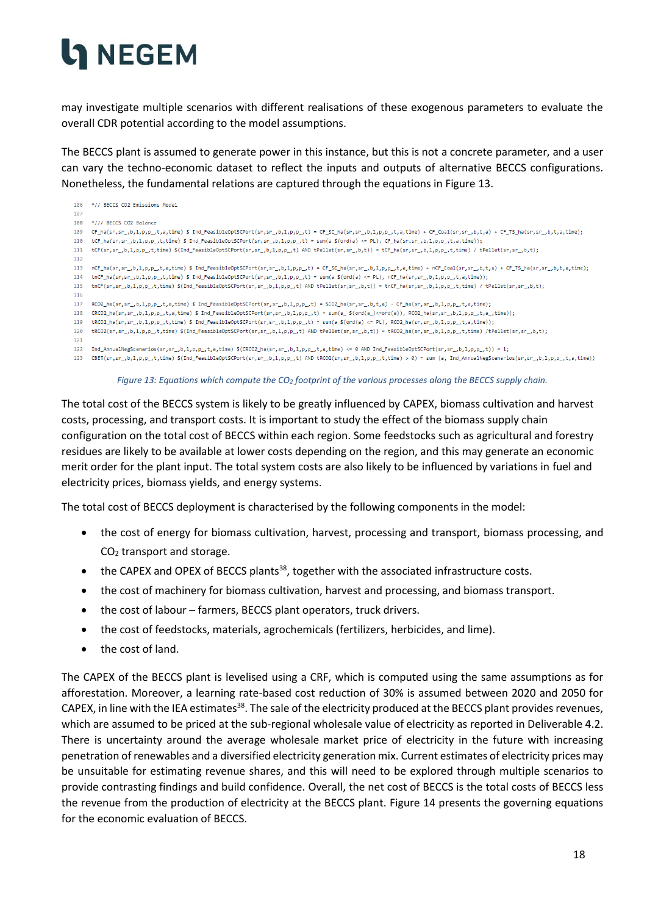may investigate multiple scenarios with different realisations of these exogenous parameters to evaluate the overall CDR potential according to the model assumptions.

The BECCS plant is assumed to generate power in this instance, but this is not a concrete parameter, and a user can vary the techno-economic dataset to reflect the inputs and outputs of alternative BECCS configurations. Nonetheless, the fundamental relations are captured through the equations in Figure 13.

|     | 106 *// BECCS CO2 Emissions Model                                                                                                                                                          |
|-----|--------------------------------------------------------------------------------------------------------------------------------------------------------------------------------------------|
| 107 |                                                                                                                                                                                            |
| 108 | */// BECCS CO2 Balance                                                                                                                                                                     |
| 109 | CF_ha(sr,sr_,b,1,p,p_,t,a,time) \$ Ind_FeasibleOptSCPort(sr,sr_,b,1,p,p_,t) = CF_SC_ha(sr,sr_,b,1,p,p_,t,a,time) + CF_Coal(sr,sr_,b,t,a) + CF_TS_ha(sr,sr_,b,t,a,time);                    |
| 110 | tCF_ha(sr,sr_,b,1,p,p_,t,time) \$ Ind_FeasibleOptSCPort(sr,sr_,b,1,p,p_,t) = sum(a \$(ord(a) <= PL), CF_ha(sr,sr_,b,1,p,p_,t,a,time));                                                     |
| 111 | tCF(sr,sr_,b,l,p,p_,t,time) \$(Ind_FeasibleOptSCPort(sr,sr_,b,l,p,p_,t) AND tPellet(sr,sr_,b,t)) = tCF_ha(sr,sr_,b,l,p,p_,t,time) / tPellet(sr,sr_,b,t);                                   |
| 112 |                                                                                                                                                                                            |
| 113 | nCF ha(sr,sr ,b,1,p,p ,t,a,time) \$ Ind FeasibleOptSCPort(sr,sr ,b,1,p,p ,t) = CF SC ha(sr,sr ,b,1,p,p ,t,a,time) + nCF Coal(sr,sr ,b,t,a) + CF TS ha(sr,sr ,b,t,a,time);                  |
| 114 | tnCF_ha(sr,sr_,b,1,p,p_,t,time) \$ Ind_FeasibleOptSCPort(sr,sr_,b,1,p,p_,t) = sum(a \$(ord(a) <= PL), nCF_ha(sr,sr_,b,1,p,p_,t,a,time));                                                   |
| 115 | tnCF(sr,sr_,b,1,p,p_,t,time) \$(Ind_FeasibleOptSCPort(sr,sr_,b,1,p,p_,t) AND tPellet(sr,sr_,b,t)) = tnCF_ha(sr,sr_,b,1,p,p_,t,time) / tPellet(sr,sr_,b,t);                                 |
| 116 |                                                                                                                                                                                            |
| 117 | RCO2_ha(sr,sr_,b,1,p,p_,t,a,time) \$ Ind_FeasibleOptSCPort(sr,sr_,b,1,p,p_,t) = SCO2_ha(sr,sr_,b,t,a) - CF_ha(sr,sr_,b,1,p,p_,t,a,time);                                                   |
| 118 | $CRCO2_ha(sr,sr_b,1,p,p_f,t,a,time)$ \$ Ind_FeasibleOptSCPort(sr,sr_,b,1,p,p_,t) = sum(a_\$(ord(a_)<=ord(a)), RCO2_ha(sr,sr_,b,1,p,p_,t,a_,time));                                         |
| 119 | tRCO2_ha(sr,sr_,b,1,p,p_,t,time) \$ Ind_FeasibleOptSCPort(sr,sr_,b,1,p,p_,t) = sum(a \$(ord(a) <= PL), RCO2_ha(sr,sr_,b,1,p,p_,t,a,time));                                                 |
| 120 | tRCO2(sr,sr_,b,l,p,p_,t,time) \$(Ind_FeasibleOptSCPort(sr,sr_,b,l,p,p_,t) AND tPellet(sr,sr_,b,t)) = tRCO2_ha(sr,sr_,b,l,p,p_,t,time) /tPellet(sr,sr_,b,t);                                |
| 121 |                                                                                                                                                                                            |
| 122 | Ind AnnualNegScenarios(sr,sr,b,l,p,p,t,a,time) \$(CRCO2 ha(sr,sr,b,l,p,p,t,a,time) <= 0 AND Ind FeasibleOptSCPort(sr,sr,b,l,p,p,t)) = 1;                                                   |
| 123 | (ettime) \$(Ind FeasibleOptSCPort(sr,sr ,b,l,p,p ,t) AND tRCO2(sr,sr ,b,l,p,p ,t,time) > 0) = sum (a, Ind AnnualNegScenarios(sr,sr ,b,l,p,p ,t,a,time)) < (ET(sr,sr ,b,l,p,p ,t,time) + 0) |
|     |                                                                                                                                                                                            |

#### *Figure 13: Equations which compute the CO<sup>2</sup> footprint of the various processes along the BECCS supply chain.*

<span id="page-17-0"></span>The total cost of the BECCS system is likely to be greatly influenced by CAPEX, biomass cultivation and harvest costs, processing, and transport costs. It is important to study the effect of the biomass supply chain configuration on the total cost of BECCS within each region. Some feedstocks such as agricultural and forestry residues are likely to be available at lower costs depending on the region, and this may generate an economic merit order for the plant input. The total system costs are also likely to be influenced by variations in fuel and electricity prices, biomass yields, and energy systems.

The total cost of BECCS deployment is characterised by the following components in the model:

- the cost of energy for biomass cultivation, harvest, processing and transport, biomass processing, and CO<sup>2</sup> transport and storage.
- the CAPEX and OPEX of BECCS plants<sup>38</sup>, together with the associated infrastructure costs.
- the cost of machinery for biomass cultivation, harvest and processing, and biomass transport.
- the cost of labour farmers, BECCS plant operators, truck drivers.
- the cost of feedstocks, materials, agrochemicals (fertilizers, herbicides, and lime).
- the cost of land.

The CAPEX of the BECCS plant is levelised using a CRF, which is computed using the same assumptions as for afforestation. Moreover, a learning rate-based cost reduction of 30% is assumed between 2020 and 2050 for CAPEX, in line with the IEA estimates<sup>38</sup>. The sale of the electricity produced at the BECCS plant provides revenues, which are assumed to be priced at the sub-regional wholesale value of electricity as reported in Deliverable 4.2. There is uncertainty around the average wholesale market price of electricity in the future with increasing penetration of renewables and a diversified electricity generation mix. Current estimates of electricity prices may be unsuitable for estimating revenue shares, and this will need to be explored through multiple scenarios to provide contrasting findings and build confidence. Overall, the net cost of BECCS is the total costs of BECCS less the revenue from the production of electricity at the BECCS plant. Figure 14 presents the governing equations for the economic evaluation of BECCS.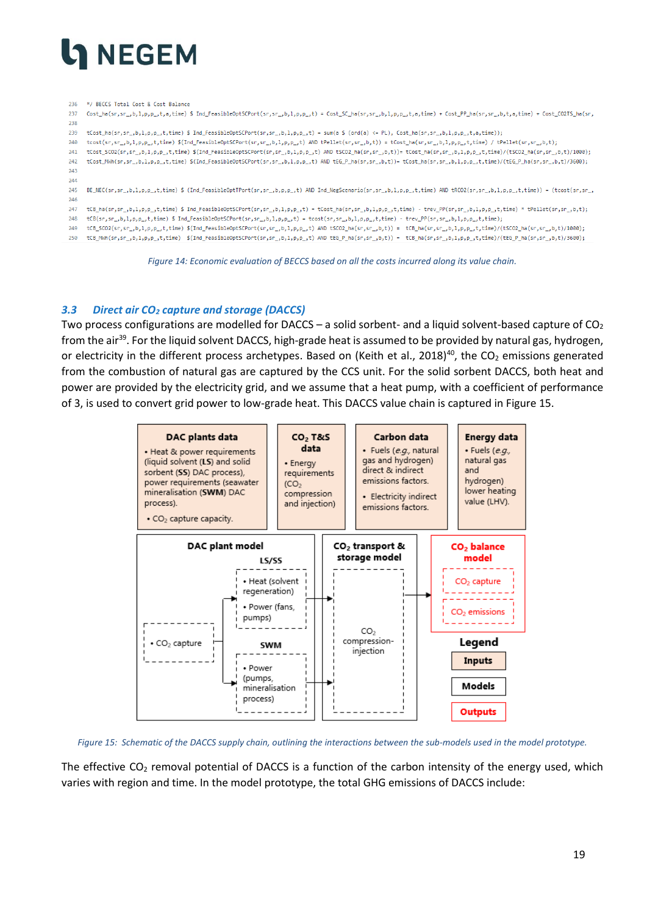

\*/ BECCS Total Cost & Cost Balance  $226$ 

237 Cost\_ha(sr,sr\_,b,1,p,p\_,t,a,time) \$ Ind\_FeasibleOptSCPort(sr,sr\_,b,1,p,p\_,t) = Cost\_SC\_ha(sr,sr\_,b,1,p,p\_,t,a,time) + Cost\_PP\_ha(sr,sr\_,b,t,a,time) + Cost\_CO2TS\_ha(sr, 238

tCost ha(sr.sr.b.l.o.o.t.time) \$ Ind FeasibleOptSCPort(sr.sr.b.l.o.o.t) = sum(a \$ (ord(a) <= PL). Cost ha(sr.sr.b.l.o.o.t.a.time)); 239

tcost(sr.sr .b.l.p.p .t.time) \$(Ind FeasibleOptSCPort(sr.sr .b.l.p.p .t) AND tPellet(sr.sr .b.t)) = tCost ha(sr.sr .b.l.p.p .t.time) / tPellet(sr.sr .b.t); 240

241 tCost SCO2(sr.sr .b.l.p.p .t.time) \$(Ind FeasibleOptSCPort(sr.sr .b.l.p.p .t) AND tSCO2 ha(sr.sr .b.t) = tCost ha(sr.sr .b.l.p.p .t.time)/(tSCO2 ha(sr.sr .b.t)/1000);

tCost\_MWh(sr,sr\_,b,1,p,p\_,t,time) \$(Ind\_FeasibleOptSCPort(sr,sr\_,b,1,p,p\_,t) AND tEG\_P\_ha(sr,sr\_,b,t)) = tCost\_ha(sr,sr\_,b,1,p,p\_,t,time)/(tEG\_P\_ha(sr,sr\_,b,t)/3600);  $242$  $243$ 

 $244$ 

 $245$ BE\_NEC(sr,sr\_,b,l,p,p\_,t,time) \$ (Ind\_FeasibleOptTPort(sr,sr\_,b,p,p\_,t) AND Ind\_NegScenario(sr,sr\_,b,l,p,p\_,t,time) AND tRCO2(sr,sr\_,b,l,p,p\_,t,time)) = (tcost(sr,sr\_, 246

247 tCB\_ha(sr,sr\_,b,1,p,p\_,t,time) \$ Ind\_FeasibleOptSCPort(sr,sr\_,b,1,p,p\_,t) = tCost\_ha(sr,sr\_,b,1,p,p\_,t,time) - trev\_PP(sr,sr\_,b,1,p,p\_,t,time) \* tPellet(sr,sr\_,b,t);

248  $t\mathsf{CB}(sr,sr\_b,1,p,p\_t,time) \text{ $\$ Ind\_FeasibleOptSCPort(sr,sr\_b,1,p,p\_t)=tcost(sr,sr\_b,1,p,p\_t,time) - trev\_PP(sr,sr\_b,1,p,p\_t,time)$ }$ 

 $\verb+tCB_SCO2(sr,sr_b1,p,p_b1,t,time) \\\verb+S(Ind_FesableOr5CPort(sr,sr_b1,p,p_b1,t) \\\verb+NID + 5CO2_ha(sr,sr_b1,t) \\\verb+= tCB_ha(sr,sr_b1,p,p_b1,t)(tCCO2_ha(sr,sr_b1,t) \\\verb+S(Ind_Sor2s,0) \\\verb+S(Ind_Sor2s,0) \\\verb+S(Ind_Sor2s,0) \\\verb+S(Ind_Sor2s,0) \\\verb+S(Ind_Sor2s,0) \\\verb+S(Ind_Sor2s,0) \\\verb+S(Ind_Sor2s,0) \\\verb+S(Ind_Sor2s,0) \\\verb+S$  $240$ 

<span id="page-18-1"></span>250 tCB MWh(sr,sr\_,b,1,p,p\_,t,time) \$(Ind FeasibleOptSCPort(sr,sr\_,b,1,p,p\_,t) AND tEG P\_ha(sr,sr\_,b,t)) = tCB ha(sr,sr\_,b,1,p,p\_,t,time)/(tEG P\_ha(sr,sr\_,b,t)/3600);

*Figure 14: Economic evaluation of BECCS based on all the costs incurred along its value chain.*

#### <span id="page-18-0"></span>*3.3 Direct air CO<sup>2</sup> capture and storage (DACCS)*

Two process configurations are modelled for DACCS – a solid sorbent- and a liquid solvent-based capture of  $CO<sub>2</sub>$ from the air<sup>39</sup>. For the liquid solvent DACCS, high-grade heat is assumed to be provided by natural gas, hydrogen, or electricity in the different process archetypes. Based on (Keith et al., 2018)<sup>40</sup>, the CO<sub>2</sub> emissions generated from the combustion of natural gas are captured by the CCS unit. For the solid sorbent DACCS, both heat and power are provided by the electricity grid, and we assume that a heat pump, with a coefficient of performance of 3, is used to convert grid power to low-grade heat. This DACCS value chain is captured in Figure 15.



<span id="page-18-2"></span>*Figure 15: Schematic of the DACCS supply chain, outlining the interactions between the sub-models used in the model prototype.*

The effective  $CO<sub>2</sub>$  removal potential of DACCS is a function of the carbon intensity of the energy used, which varies with region and time. In the model prototype, the total GHG emissions of DACCS include: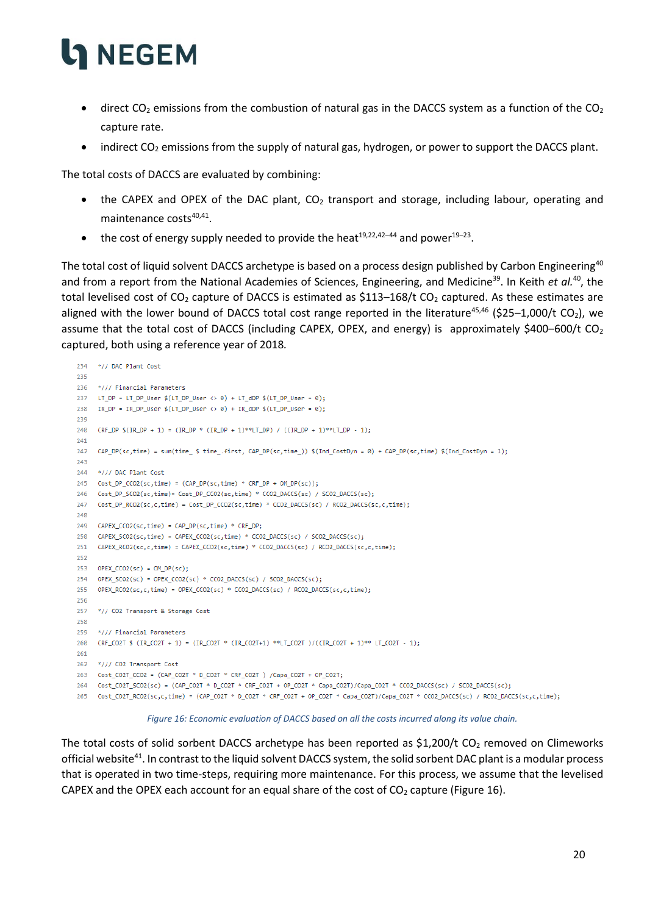- direct CO<sub>2</sub> emissions from the combustion of natural gas in the DACCS system as a function of the CO<sub>2</sub> capture rate.
- indirect CO<sub>2</sub> emissions from the supply of natural gas, hydrogen, or power to support the DACCS plant.

The total costs of DACCS are evaluated by combining:

- the CAPEX and OPEX of the DAC plant,  $CO<sub>2</sub>$  transport and storage, including labour, operating and maintenance costs<sup>40,41</sup>.
- the cost of energy supply needed to provide the heat<sup>19,22,42-44</sup> and power<sup>19-23</sup>.

The total cost of liquid solvent DACCS archetype is based on a process design published by Carbon Engineering<sup>40</sup> and from a report from the National Academies of Sciences, Engineering, and Medicine<sup>39</sup>. In Keith *et al.*<sup>40</sup>, the total levelised cost of  $CO_2$  capture of DACCS is estimated as \$113-168/t  $CO_2$  captured. As these estimates are aligned with the lower bound of DACCS total cost range reported in the literature<sup>45,46</sup> (\$25–1,000/t CO<sub>2</sub>), we assume that the total cost of DACCS (including CAPEX, OPEX, and energy) is approximately  $$400-600/t$  CO<sub>2</sub> captured, both using a reference year of 2018*.*

```
234 *// DAC Plant Cost
235
236 */// Financial Parameters
237 LT DP = LT DP User $(\text{LT DP User} \Leftrightarrow \emptyset) + \text{LT dDP $(\text{LT DP User} = \emptyset)$}:
238 IR_DP = IR_DP_User $(LT\_DP\_User \Leftrightarrow 0) + IR\_dDP _$(LT\_DP\_User = 0);
239
240 CRF_DP $(IR_DP + 1) = (IR_DP * (IR_DP + 1)**LT_DP) / ((IR_DP + 1)**LT_DP - 1);
241
242 CAP_DP(sc,time) = sum(time_ $ time_.first, CAP_DP(sc,time_)) $(Ind_CostDyn = 0) + CAP_DP(sc,time) $(Ind_CostDyn = 1);
243244 */// DAC Plant Cost
245 Cost DP CCO2(sc.time) = (CAP DP(sc.time) * CRF DP + OM DP(sc));
246    Cost_DP_SCO2(sc,time)= Cost_DP_CCO2(sc,time) * CCO2_DACCS(sc) / SCO2_DACCS(sc);
247 Cost DP RCO2(sc,c,time) = Cost DP CCO2(sc,time) * CCO2 DACCS(sc) / RCO2 DACCS(sc,c,time);
248
249 CAPEX CCO2(sc.time) = CAP DP(sc.time) * CRF DP:
250
      CAPEX_SCO2(sc,time) = CAPEX_CCO2(sc,time) * CCO2_DACCS(sc) / SCO2_DACCS(sc);
251 CAPEX_RCO2(sc,c,time) = CAPEX_CCO2(sc,time) * CCO2_DACCS(sc) / RCO2_DACCS(sc,c,time);
252
253 OPEX CCO2(sc) = OM DP(sc);
254 OPEX_SCO2(sc) = OPEX_CCO2(sc) * CCO2_DACCS(sc) / SCO2_DACCS(sc);
255 OPEX_RCO2(sc,c,time) = OPEX_CCO2(sc) * CCO2_DACCS(sc) / RCO2_DACCS(sc,c,time);
256
257
      *// CO2 Transport & Storage Cost
258
259 */// Financial Parameters
260 CRF_CO2T $ (IR_CO2T + 1) = (IR_CO2T * (IR_CO2T+1) **LT_CO2T )/((IR_CO2T + 1)** LT_CO2T - 1);
261
262 */// CO2 Transport Cost
263    Cost_CO2T_CCO2 = (CAP_CO2T * D_CO2T * CRF_CO2T ) /Capa_CO2T + OP_CO2T;
264 Cost_CO2T_SCO2(sc) = (CAP_CO2T * D_CO2T * CRF_CO2T + OP_CO2T * Capa_CO2T)/Capa_CO2T * CCO2_DACCS(sc) / SCO2_DACCS(sc);
265 Cost_CO2T_RCO2(sc,c,time) = (CAP_CO2T * D_CO2T * CRF_CO2T + OP_CO2T * Capa_CO2T)/Capa_CO2T * CCO2_DACCS(sc) / RCO2_DACCS(sc,c,time);
```
*Figure 16: Economic evaluation of DACCS based on all the costs incurred along its value chain.*

<span id="page-19-0"></span>The total costs of solid sorbent DACCS archetype has been reported as  $$1,200/t$  CO<sub>2</sub> removed on Climeworks official website<sup>41</sup>. In contrast to the liquid solvent DACCS system, the solid sorbent DAC plant is a modular process that is operated in two time-steps, requiring more maintenance. For this process, we assume that the levelised CAPEX and the OPEX each account for an equal share of the cost of  $CO<sub>2</sub>$  capture (Figure 16).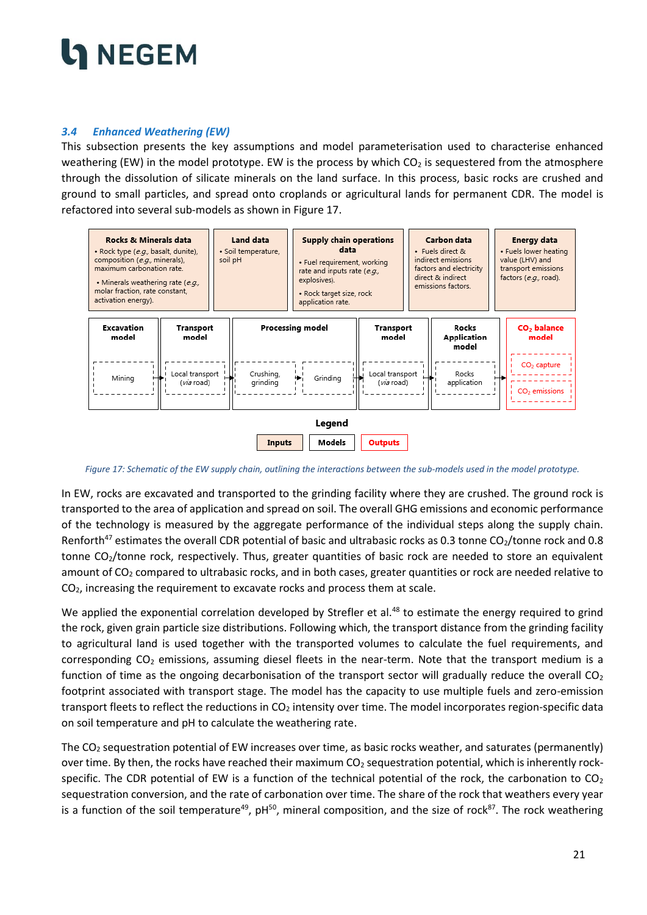#### <span id="page-20-0"></span>*3.4 Enhanced Weathering (EW)*

This subsection presents the key assumptions and model parameterisation used to characterise enhanced weathering (EW) in the model prototype. EW is the process by which  $CO<sub>2</sub>$  is sequestered from the atmosphere through the dissolution of silicate minerals on the land surface. In this process, basic rocks are crushed and ground to small particles, and spread onto croplands or agricultural lands for permanent CDR. The model is refactored into several sub-models as shown in Figure 17.



*Figure 17: Schematic of the EW supply chain, outlining the interactions between the sub-models used in the model prototype.*

<span id="page-20-1"></span>In EW, rocks are excavated and transported to the grinding facility where they are crushed. The ground rock is transported to the area of application and spread on soil. The overall GHG emissions and economic performance of the technology is measured by the aggregate performance of the individual steps along the supply chain. Renforth<sup>47</sup> estimates the overall CDR potential of basic and ultrabasic rocks as 0.3 tonne CO<sub>2</sub>/tonne rock and 0.8 tonne CO<sub>2</sub>/tonne rock, respectively. Thus, greater quantities of basic rock are needed to store an equivalent amount of CO<sub>2</sub> compared to ultrabasic rocks, and in both cases, greater quantities or rock are needed relative to CO2, increasing the requirement to excavate rocks and process them at scale.

We applied the exponential correlation developed by Strefler et al.<sup>48</sup> to estimate the energy required to grind the rock, given grain particle size distributions. Following which, the transport distance from the grinding facility to agricultural land is used together with the transported volumes to calculate the fuel requirements, and corresponding  $CO<sub>2</sub>$  emissions, assuming diesel fleets in the near-term. Note that the transport medium is a function of time as the ongoing decarbonisation of the transport sector will gradually reduce the overall  $CO<sub>2</sub>$ footprint associated with transport stage. The model has the capacity to use multiple fuels and zero-emission transport fleets to reflect the reductions in CO<sub>2</sub> intensity over time. The model incorporates region-specific data on soil temperature and pH to calculate the weathering rate.

The CO<sub>2</sub> sequestration potential of EW increases over time, as basic rocks weather, and saturates (permanently) over time. By then, the rocks have reached their maximum  $CO<sub>2</sub>$  sequestration potential, which is inherently rockspecific. The CDR potential of EW is a function of the technical potential of the rock, the carbonation to  $CO<sub>2</sub>$ sequestration conversion, and the rate of carbonation over time. The share of the rock that weathers every year is a function of the soil temperature<sup>49</sup>, pH<sup>50</sup>, mineral composition, and the size of rock<sup>87</sup>. The rock weathering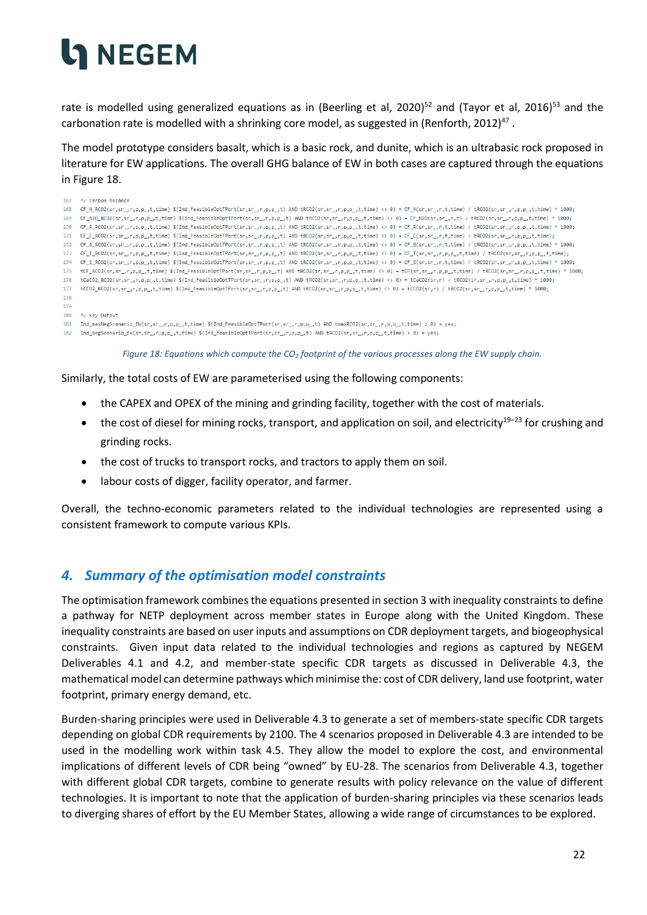rate is modelled using generalized equations as in (Beerling et al, 2020)<sup>52</sup> and (Tayor et al, 2016)<sup>53</sup> and the carbonation rate is modelled with a shrinking core model, as suggested in (Renforth, 2012)<sup>47</sup>.

The model prototype considers basalt, which is a basic rock, and dunite, which is an ultrabasic rock proposed in literature for EW applications. The overall GHG balance of EW in both cases are captured through the equations in Figure 18.

| 167 | */ Carbon Balance                                                                                                                                                               |
|-----|---------------------------------------------------------------------------------------------------------------------------------------------------------------------------------|
| 168 | CF_M_RCO2(sr,sr_,r,p,p_,t,time) \$(Ind_FeasibleOptTPort(sr,sr_,r,p,p_,t) AND tRCO2(sr,sr_,r,p,p_,t,time) <> 0) = CF_M(sr,sr_,r,t,time) / tRCO2(sr,sr_,r,p,p_,t,time) * 1000;    |
| 169 | CF_N2O_RCO2(sr,sr_,r,p,p_,t,time) \$(Ind_FeasibleOptTPort(sr,sr_,r,p,p_,t) AND tRCO2(sr,sr_,r,p,p_,t,time) <> 0) = CF_N2O(sr,sr_,r,t,t) / tRCO2(sr,sr_,r,p,p_,t,time) * 1000;   |
| 170 | ;1000 * (time), t,time), t,time) (Ind FeasibleOptTPort(sr,sr,r,p,p,t,t) AND tRCO2(sr,sr,r,p,p,t,time) <> 0) = CF R(sr,sr,r,t,time) / tRCO2(sr,sr,r,p,p,t,time) * 1000;          |
| 171 | CF_C_RCO2(sr,sr_,r,p,p_,t,time) \$(Ind_FeasibleOptTPort(sr,sr_,r,p,p_,t) AND tRCO2(sr,sr_,r,p,p_,t,time) <> 0) = CF_C(sr,sr_,r,t,time) / tRCO2(sr,sr_,r,p,p_,t,time);           |
| 172 | CF_G_RCO2(sr,sr_,r,p,p_t,time) \$(Ind_FeasibleOptTPort(sr,sr_,r,p,p_,t) AND tRCO2(sr,sr_,r,p,p_,t,time) <> 0) = CF_G(sr,sr_,r,t,time) / tRCO2(sr,sr_,r,p,p_,t,time) * 1000;     |
| 173 | CF_T_RCO2(sr,sr_,r,p,p_,t,time) \$(Ind_FeasibleOptTPort(sr,sr_,r,p,p_,t) AND tRCO2(sr,sr_,r,p,p_,t,time) <> 0) = CF_T(sr,sr_,r,p,p_,t,time) / tRCO2(sr,sr_,r,p,p_,t,time);      |
| 174 | CF_S_RCO2(sr,sr_,r,p,p_t,time) \$(Ind_FeasibleOptTPort(sr,sr_,r,p,p_,t) AND tRCO2(sr,sr_,r,p,p_t,time) <> 0) = CF_S(sr,sr_,r,t,time) / tRCO2(sr,sr_,r,p,p_,t,time) * 1000;      |
| 175 | tCF RCO2(sr,sr ,r,p,p ,t,time) \$(Ind FeasibleOptTPort(sr,sr ,r,p,p ,t) AND tRCO2(sr,sr ,r,p,p ,t,time) <> 0) = tCF(sr,sr ,r,p,p ,t,time) / tRCO2(sr,sr ,r,p,p ,t,time) * 1000; |
| 176 | tCaCO2_RCO2(sr,sr_,r,p,p_,t,time) \$(Ind_FeasibleOptTPort(sr,sr_,r,p,p_,t) AND tRCO2(sr,sr_,r,p,p_,t,time) <> 0) = tCaCO2(sr,r) / tRCO2(sr,sr_,r,p,p_,t,time) * 1000;           |
| 177 | tCCO2_RCO2(sr,sr_,r,p,p_,t,time) \$(Ind_FeasibleOptTPort(sr,sr_,r,p,p_,t) AND tRCO2(sr,sr_,r,p,p_,t,time) <> 0) = tCCO2(sr,r) / tRCO2(sr,sr_,r,p,p_,t,time) * 1000;             |
| 178 |                                                                                                                                                                                 |
| 179 |                                                                                                                                                                                 |
| 180 | */ Key Output                                                                                                                                                                   |
| 181 | Ind_maxNegScenario_EW(sr,sr_,r,p,p_,t,time) \$(Ind_FeasibleOptTPort(sr,sr_,r,p,p_,t) AND tmaxRCO2(sr,sr_,r,p,p_,t,time) > 0) = yes;                                             |
| 182 | Ind_NegScenario_EW(sr,sr_,r,p,p_,t,time) \$(Ind_FeasibleOptTPort(sr,sr_,r,p,p_,t) AND tRCO2(sr,sr_,r,p,p_,t,time) > 0) = yes;                                                   |
|     |                                                                                                                                                                                 |

*Figure 18: Equations which compute the CO<sup>2</sup> footprint of the various processes along the EW supply chain.*

<span id="page-21-1"></span>Similarly, the total costs of EW are parameterised using the following components:

- the CAPEX and OPEX of the mining and grinding facility, together with the cost of materials.
- the cost of diesel for mining rocks, transport, and application on soil, and electricity<sup>19–23</sup> for crushing and grinding rocks.
- the cost of trucks to transport rocks, and tractors to apply them on soil.
- labour costs of digger, facility operator, and farmer.

Overall, the techno-economic parameters related to the individual technologies are represented using a consistent framework to compute various KPIs.

#### <span id="page-21-0"></span>*4. Summary of the optimisation model constraints*

The optimisation framework combines the equations presented in section 3 with inequality constraints to define a pathway for NETP deployment across member states in Europe along with the United Kingdom. These inequality constraints are based on user inputs and assumptions on CDR deployment targets, and biogeophysical constraints. Given input data related to the individual technologies and regions as captured by NEGEM Deliverables 4.1 and 4.2, and member-state specific CDR targets as discussed in Deliverable 4.3, the mathematical model can determine pathways which minimise the: cost of CDR delivery, land use footprint, water footprint, primary energy demand, etc.

Burden-sharing principles were used in Deliverable 4.3 to generate a set of members-state specific CDR targets depending on global CDR requirements by 2100. The 4 scenarios proposed in Deliverable 4.3 are intended to be used in the modelling work within task 4.5. They allow the model to explore the cost, and environmental implications of different levels of CDR being "owned" by EU-28. The scenarios from Deliverable 4.3, together with different global CDR targets, combine to generate results with policy relevance on the value of different technologies. It is important to note that the application of burden-sharing principles via these scenarios leads to diverging shares of effort by the EU Member States, allowing a wide range of circumstances to be explored.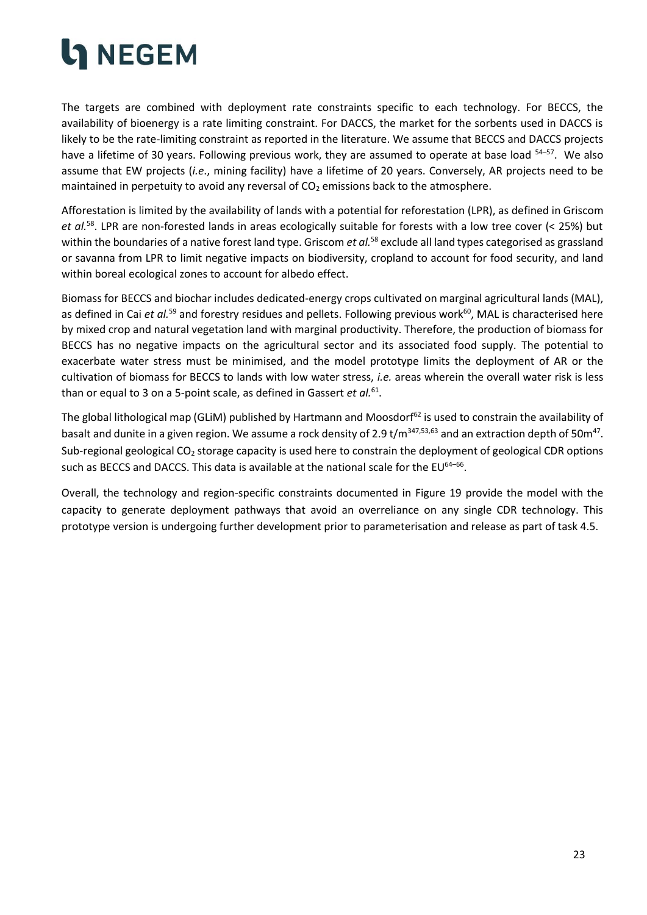The targets are combined with deployment rate constraints specific to each technology. For BECCS, the availability of bioenergy is a rate limiting constraint. For DACCS, the market for the sorbents used in DACCS is likely to be the rate-limiting constraint as reported in the literature. We assume that BECCS and DACCS projects have a lifetime of 30 years. Following previous work, they are assumed to operate at base load <sup>54–57</sup>. We also assume that EW projects (*i.e*., mining facility) have a lifetime of 20 years. Conversely, AR projects need to be maintained in perpetuity to avoid any reversal of  $CO<sub>2</sub>$  emissions back to the atmosphere.

Afforestation is limited by the availability of lands with a potential for reforestation (LPR), as defined in Griscom *et al.*<sup>58</sup>. LPR are non-forested lands in areas ecologically suitable for forests with a low tree cover (< 25%) but within the boundaries of a native forest land type. Griscom *et al.*<sup>58</sup> exclude all land types categorised as grassland or savanna from LPR to limit negative impacts on biodiversity, cropland to account for food security, and land within boreal ecological zones to account for albedo effect.

Biomass for BECCS and biochar includes dedicated-energy crops cultivated on marginal agricultural lands (MAL), as defined in Cai *et al.*<sup>59</sup> and forestry residues and pellets. Following previous work<sup>60</sup>, MAL is characterised here by mixed crop and natural vegetation land with marginal productivity. Therefore, the production of biomass for BECCS has no negative impacts on the agricultural sector and its associated food supply. The potential to exacerbate water stress must be minimised, and the model prototype limits the deployment of AR or the cultivation of biomass for BECCS to lands with low water stress, *i.e.* areas wherein the overall water risk is less than or equal to 3 on a 5-point scale, as defined in Gassert *et al.*<sup>61</sup>.

The global lithological map (GLiM) published by Hartmann and Moosdorf<sup>62</sup> is used to constrain the availability of basalt and dunite in a given region. We assume a rock density of 2.9 t/m<sup>347,53,63</sup> and an extraction depth of 50m<sup>47</sup>. Sub-regional geological  $CO<sub>2</sub>$  storage capacity is used here to constrain the deployment of geological CDR options such as BECCS and DACCS. This data is available at the national scale for the EU<sup>64-66</sup>.

Overall, the technology and region-specific constraints documented in Figure 19 provide the model with the capacity to generate deployment pathways that avoid an overreliance on any single CDR technology. This prototype version is undergoing further development prior to parameterisation and release as part of task 4.5.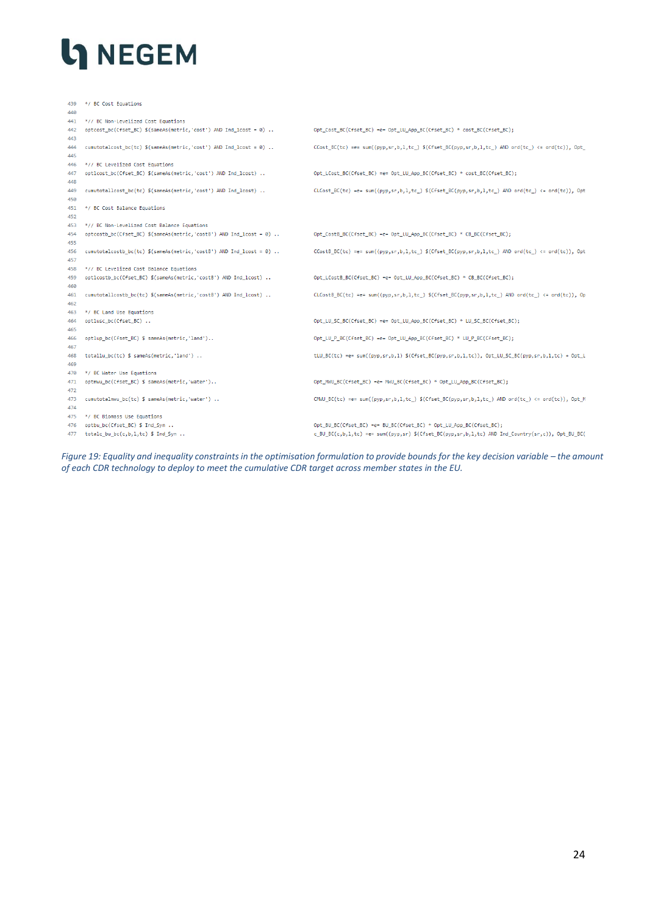| 439<br>440 | */ BC Cost Equations                                                 |                                                                                                       |
|------------|----------------------------------------------------------------------|-------------------------------------------------------------------------------------------------------|
| 441        | *// BC Non-Levelized Cost Equations                                  |                                                                                                       |
| 442        | $optcost\_bc(Cfset\_BC)$ \$(sameAs(metric,'cost') AND Ind_lcost = 0) | Opt_Cost_BC(Cfset_BC) =e= Opt_LU_App_BC(Cfset_BC) * cost_BC(Cfset_BC);                                |
| 443        |                                                                      |                                                                                                       |
| 444        | cumutotalcost bc(tc) $$(sameAs(metric, 'cost')$ AND Ind lcost = 0)   | CCost BC(tc) =e= sum((pyp,sr,b,l,tc) \$(Cfset BC(pyp,sr,b,l,tc) AND ord(tc) <= ord(tc)), Opt          |
| 445        |                                                                      |                                                                                                       |
| 446        | *// BC Levelized Cost Equations                                      |                                                                                                       |
| 447        | optlcost bc(Cfset BC) \$(sameAs(metric,'cost') AND Ind lcost)        | Opt_LCost_BC(Cfset_BC) =e= Opt_LU_App_BC(Cfset_BC) * cost_BC(Cfset_BC);                               |
| 448        |                                                                      |                                                                                                       |
| 449        | cumutotallcost_bc(tc) \$(sameAs(metric,'cost') AND Ind_lcost)        | $CLCost_BC(tc) == sum((pyp,sr,b,1,tc))$ $Cfset_BC(pyp,sr,b,1,tc)$ AND $ord(tc) <= ord(tc)$ , Opt      |
| 450        |                                                                      |                                                                                                       |
| 451        | */ BC Cost Balance Equations                                         |                                                                                                       |
| 452        |                                                                      |                                                                                                       |
| 453        | *// BC Non-Levelized Cost Balance Equations                          |                                                                                                       |
| 454        | optcostb_bc(Cfset_BC) \$(sameAs(metric,'costB') AND Ind_lcost = 0)   | Opt_CostB_BC(Cfset_BC) =e= Opt_LU_App_BC(Cfset_BC) * CB_BC(Cfset_BC);                                 |
| 455        |                                                                      |                                                                                                       |
| 456<br>457 | cumutotalcostb bc(tc) \$(sameAs(metric,'costB') AND Ind lcost = 0)   | CCostB BC(tc) =e= sum((pyp,sr,b,1,tc) \$(Cfset BC(pyp,sr,b,1,tc) AND ord(tc) <= ord(tc)), Opt         |
| 458        | *// BC Levelized Cost Balance Equations                              |                                                                                                       |
| 459        | optlcostb bc(Cfset BC) \$(sameAs(metric,'costB') AND Ind lcost)      | Opt LCostB BC(Cfset BC) =e= Opt LU App BC(Cfset BC) * CB BC(Cfset BC);                                |
| 460        |                                                                      |                                                                                                       |
| 461        | cumutotallcostb_bc(tc) \$(sameAs(metric,'costB') AND Ind_lcost)      | $CLCostB_BC(tc) == sum((pyp,sr,b,1,tc_>) $(Cfset_BC(pyp,sr,b,1,tc_))$ AND $ord(tc_+) <= ord(tc)),$ Op |
| 462        |                                                                      |                                                                                                       |
| 463        | */ BC Land Use Equations                                             |                                                                                                       |
| 464        | optlusc bc(Cfset BC)                                                 | Opt LU SC BC(Cfset BC) =e= Opt LU App BC(Cfset BC) * LU SC BC(Cfset BC);                              |
| 465        |                                                                      |                                                                                                       |
| 466        | optlup bc(Cfset BC) \$ sameAs(metric,'land')                         | Opt_LU_P_BC(Cfset_BC) =e= Opt_LU_App_BC(Cfset_BC) * LU_P_BC(Cfset_BC);                                |
| 467        |                                                                      |                                                                                                       |
| 468        | totallu_bc(tc) \$ sameAs(metric,'land')                              | tLU_BC(tc) =e= sum((pyp,sr,b,1) \$(Cfset_BC(pyp,sr,b,1,tc)), Opt_LU_SC_BC(pyp,sr,b,1,tc) + Opt_L      |
| 469        |                                                                      |                                                                                                       |
| 470        | */ BC Water Use Equations                                            |                                                                                                       |
| 471        | optmwu_bc(Cfset_BC) \$ sameAs(metric,'water')                        | Opt MWU BC(Cfset BC) =e= MWU BC(Cfset BC) * Opt LU App BC(Cfset BC);                                  |
| 472<br>473 | cumutotalmwu bc(tc) \$ sameAs(metric,'water')                        | CMWU BC(tc) =e= sum((pyp,sr,b,l,tc) \$(Cfset BC(pyp,sr,b,l,tc) AND ord(tc) <= ord(tc)), Opt M         |
| 474        |                                                                      |                                                                                                       |
| 475        | */ BC Biomass Use Equations                                          |                                                                                                       |
| 476        | optbu bc(Cfset BC) \$ Ind Syn                                        | Opt BU BC(Cfset BC) =e= BU BC(Cfset BC) * Opt LU App BC(Cfset BC);                                    |
|            | 477 totalc_bu_bc(c,b,l,tc) \$ Ind_Syn                                | c_BU_BC(c,b,l,tc) =e= sum((pyp,sr) \$(Cfset_BC(pyp,sr,b,l,tc) AND Ind_Country(sr,c)), Opt_BU_BC(      |
|            |                                                                      |                                                                                                       |

<span id="page-23-0"></span>*Figure 19: Equality and inequality constraints in the optimisation formulation to provide bounds for the key decision variable – the amount of each CDR technology to deploy to meet the cumulative CDR target across member states in the EU.*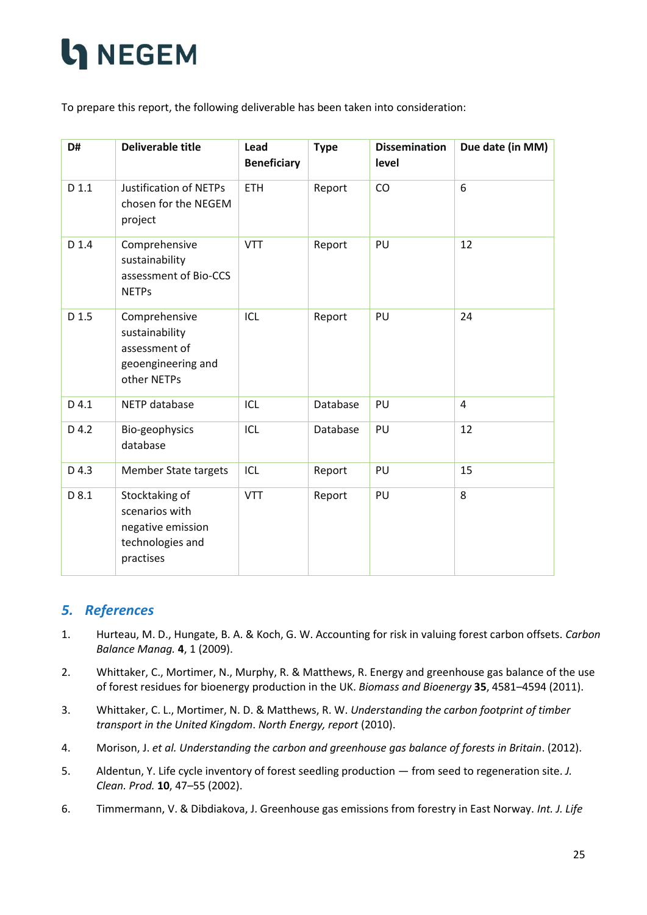To prepare this report, the following deliverable has been taken into consideration:

| D#      | <b>Deliverable title</b>                                                               | Lead<br><b>Beneficiary</b> | <b>Type</b> | <b>Dissemination</b><br>level | Due date (in MM) |
|---------|----------------------------------------------------------------------------------------|----------------------------|-------------|-------------------------------|------------------|
| $D$ 1.1 | <b>Justification of NETPs</b><br>chosen for the NEGEM<br>project                       | <b>ETH</b>                 | Report      | CO                            | 6                |
| D 1.4   | Comprehensive<br>sustainability<br>assessment of Bio-CCS<br><b>NETPs</b>               | <b>VTT</b>                 | Report      | PU                            | 12               |
| D 1.5   | Comprehensive<br>sustainability<br>assessment of<br>geoengineering and<br>other NETPs  | ICL                        | Report      | PU                            | 24               |
| D 4.1   | NETP database                                                                          | ICL                        | Database    | PU                            | 4                |
| D 4.2   | Bio-geophysics<br>database                                                             | ICL                        | Database    | PU                            | 12               |
| D 4.3   | <b>Member State targets</b>                                                            | ICL                        | Report      | PU                            | 15               |
| D 8.1   | Stocktaking of<br>scenarios with<br>negative emission<br>technologies and<br>practises | <b>VTT</b>                 | Report      | PU                            | 8                |

#### <span id="page-24-0"></span>*5. References*

- 1. Hurteau, M. D., Hungate, B. A. & Koch, G. W. Accounting for risk in valuing forest carbon offsets. *Carbon Balance Manag.* **4**, 1 (2009).
- 2. Whittaker, C., Mortimer, N., Murphy, R. & Matthews, R. Energy and greenhouse gas balance of the use of forest residues for bioenergy production in the UK. *Biomass and Bioenergy* **35**, 4581–4594 (2011).
- 3. Whittaker, C. L., Mortimer, N. D. & Matthews, R. W. *Understanding the carbon footprint of timber transport in the United Kingdom*. *North Energy, report* (2010).
- 4. Morison, J. *et al. Understanding the carbon and greenhouse gas balance of forests in Britain*. (2012).
- 5. Aldentun, Y. Life cycle inventory of forest seedling production from seed to regeneration site. *J. Clean. Prod.* **10**, 47–55 (2002).
- 6. Timmermann, V. & Dibdiakova, J. Greenhouse gas emissions from forestry in East Norway. *Int. J. Life*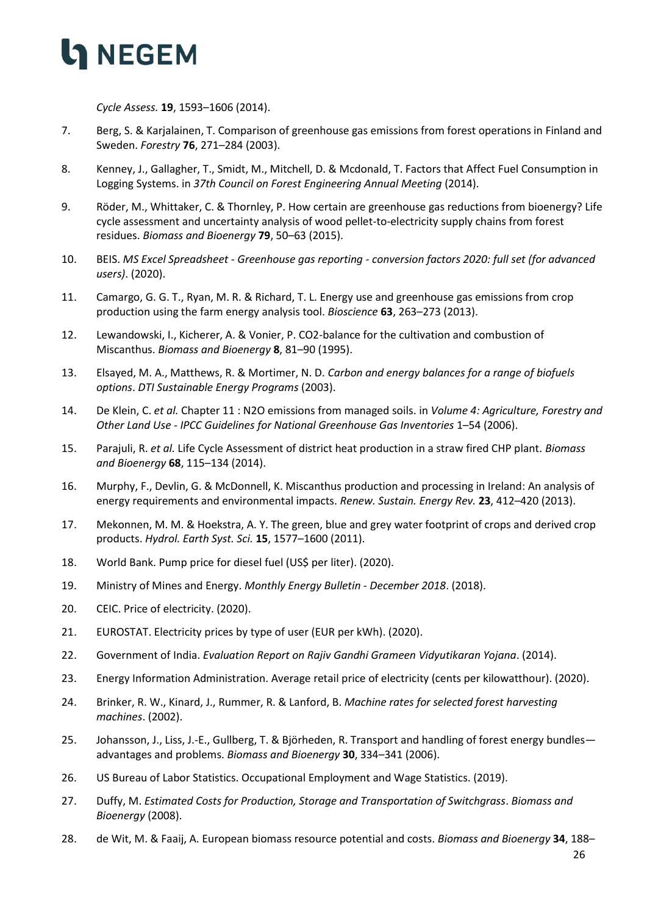

*Cycle Assess.* **19**, 1593–1606 (2014).

- 7. Berg, S. & Karjalainen, T. Comparison of greenhouse gas emissions from forest operations in Finland and Sweden. *Forestry* **76**, 271–284 (2003).
- 8. Kenney, J., Gallagher, T., Smidt, M., Mitchell, D. & Mcdonald, T. Factors that Affect Fuel Consumption in Logging Systems. in *37th Council on Forest Engineering Annual Meeting* (2014).
- 9. Röder, M., Whittaker, C. & Thornley, P. How certain are greenhouse gas reductions from bioenergy? Life cycle assessment and uncertainty analysis of wood pellet-to-electricity supply chains from forest residues. *Biomass and Bioenergy* **79**, 50–63 (2015).
- 10. BEIS. *MS Excel Spreadsheet - Greenhouse gas reporting - conversion factors 2020: full set (for advanced users)*. (2020).
- 11. Camargo, G. G. T., Ryan, M. R. & Richard, T. L. Energy use and greenhouse gas emissions from crop production using the farm energy analysis tool. *Bioscience* **63**, 263–273 (2013).
- 12. Lewandowski, I., Kicherer, A. & Vonier, P. CO2-balance for the cultivation and combustion of Miscanthus. *Biomass and Bioenergy* **8**, 81–90 (1995).
- 13. Elsayed, M. A., Matthews, R. & Mortimer, N. D. *Carbon and energy balances for a range of biofuels options*. *DTI Sustainable Energy Programs* (2003).
- 14. De Klein, C. *et al.* Chapter 11 : N2O emissions from managed soils. in *Volume 4: Agriculture, Forestry and Other Land Use - IPCC Guidelines for National Greenhouse Gas Inventories* 1–54 (2006).
- 15. Parajuli, R. *et al.* Life Cycle Assessment of district heat production in a straw fired CHP plant. *Biomass and Bioenergy* **68**, 115–134 (2014).
- 16. Murphy, F., Devlin, G. & McDonnell, K. Miscanthus production and processing in Ireland: An analysis of energy requirements and environmental impacts. *Renew. Sustain. Energy Rev.* **23**, 412–420 (2013).
- 17. Mekonnen, M. M. & Hoekstra, A. Y. The green, blue and grey water footprint of crops and derived crop products. *Hydrol. Earth Syst. Sci.* **15**, 1577–1600 (2011).
- 18. World Bank. Pump price for diesel fuel (US\$ per liter). (2020).
- 19. Ministry of Mines and Energy. *Monthly Energy Bulletin - December 2018*. (2018).
- 20. CEIC. Price of electricity. (2020).
- 21. EUROSTAT. Electricity prices by type of user (EUR per kWh). (2020).
- 22. Government of India. *Evaluation Report on Rajiv Gandhi Grameen Vidyutikaran Yojana*. (2014).
- 23. Energy Information Administration. Average retail price of electricity (cents per kilowatthour). (2020).
- 24. Brinker, R. W., Kinard, J., Rummer, R. & Lanford, B. *Machine rates for selected forest harvesting machines*. (2002).
- 25. Johansson, J., Liss, J.-E., Gullberg, T. & Björheden, R. Transport and handling of forest energy bundles advantages and problems. *Biomass and Bioenergy* **30**, 334–341 (2006).
- 26. US Bureau of Labor Statistics. Occupational Employment and Wage Statistics. (2019).
- 27. Duffy, M. *Estimated Costs for Production, Storage and Transportation of Switchgrass*. *Biomass and Bioenergy* (2008).
- 28. de Wit, M. & Faaij, A. European biomass resource potential and costs. *Biomass and Bioenergy* **34**, 188–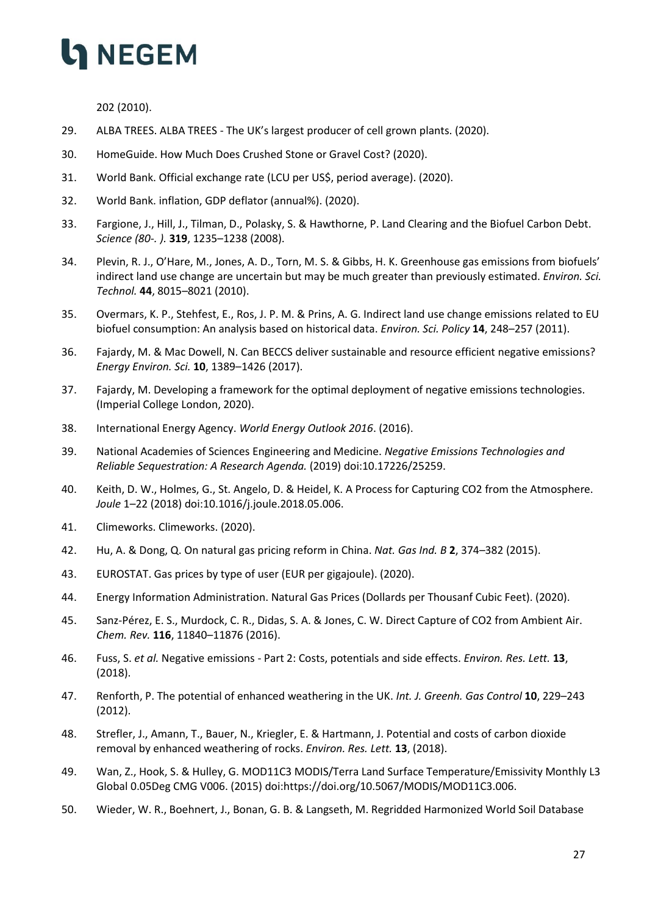

202 (2010).

- 29. ALBA TREES. ALBA TREES The UK's largest producer of cell grown plants. (2020).
- 30. HomeGuide. How Much Does Crushed Stone or Gravel Cost? (2020).
- 31. World Bank. Official exchange rate (LCU per US\$, period average). (2020).
- 32. World Bank. inflation, GDP deflator (annual%). (2020).
- 33. Fargione, J., Hill, J., Tilman, D., Polasky, S. & Hawthorne, P. Land Clearing and the Biofuel Carbon Debt. *Science (80-. ).* **319**, 1235–1238 (2008).
- 34. Plevin, R. J., O'Hare, M., Jones, A. D., Torn, M. S. & Gibbs, H. K. Greenhouse gas emissions from biofuels' indirect land use change are uncertain but may be much greater than previously estimated. *Environ. Sci. Technol.* **44**, 8015–8021 (2010).
- 35. Overmars, K. P., Stehfest, E., Ros, J. P. M. & Prins, A. G. Indirect land use change emissions related to EU biofuel consumption: An analysis based on historical data. *Environ. Sci. Policy* **14**, 248–257 (2011).
- 36. Fajardy, M. & Mac Dowell, N. Can BECCS deliver sustainable and resource efficient negative emissions? *Energy Environ. Sci.* **10**, 1389–1426 (2017).
- 37. Fajardy, M. Developing a framework for the optimal deployment of negative emissions technologies. (Imperial College London, 2020).
- 38. International Energy Agency. *World Energy Outlook 2016*. (2016).
- 39. National Academies of Sciences Engineering and Medicine. *Negative Emissions Technologies and Reliable Sequestration: A Research Agenda.* (2019) doi:10.17226/25259.
- 40. Keith, D. W., Holmes, G., St. Angelo, D. & Heidel, K. A Process for Capturing CO2 from the Atmosphere. *Joule* 1–22 (2018) doi:10.1016/j.joule.2018.05.006.
- 41. Climeworks. Climeworks. (2020).
- 42. Hu, A. & Dong, Q. On natural gas pricing reform in China. *Nat. Gas Ind. B* **2**, 374–382 (2015).
- 43. EUROSTAT. Gas prices by type of user (EUR per gigajoule). (2020).
- 44. Energy Information Administration. Natural Gas Prices (Dollards per Thousanf Cubic Feet). (2020).
- 45. Sanz-Pérez, E. S., Murdock, C. R., Didas, S. A. & Jones, C. W. Direct Capture of CO2 from Ambient Air. *Chem. Rev.* **116**, 11840–11876 (2016).
- 46. Fuss, S. *et al.* Negative emissions Part 2: Costs, potentials and side effects. *Environ. Res. Lett.* **13**, (2018).
- 47. Renforth, P. The potential of enhanced weathering in the UK. *Int. J. Greenh. Gas Control* **10**, 229–243 (2012).
- 48. Strefler, J., Amann, T., Bauer, N., Kriegler, E. & Hartmann, J. Potential and costs of carbon dioxide removal by enhanced weathering of rocks. *Environ. Res. Lett.* **13**, (2018).
- 49. Wan, Z., Hook, S. & Hulley, G. MOD11C3 MODIS/Terra Land Surface Temperature/Emissivity Monthly L3 Global 0.05Deg CMG V006. (2015) doi:https://doi.org/10.5067/MODIS/MOD11C3.006.
- 50. Wieder, W. R., Boehnert, J., Bonan, G. B. & Langseth, M. Regridded Harmonized World Soil Database